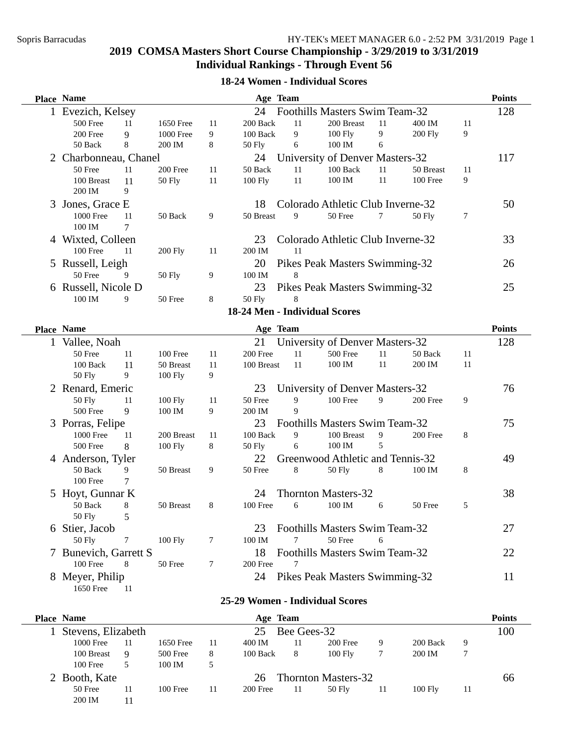### **18-24 Women - Individual Scores**

| <b>Place Name</b>      |                                |    |               | Age Team |                                   |        |                |                  | <b>Points</b> |
|------------------------|--------------------------------|----|---------------|----------|-----------------------------------|--------|----------------|------------------|---------------|
| 1 Evezich, Kelsey      | Foothills Masters Swim Team-32 |    | 128           |          |                                   |        |                |                  |               |
| 500 Free<br>11         | 1650 Free                      | 11 | 200 Back      | 11       | 200 Breast                        | 11     | 400 IM         | 11               |               |
| 200 Free<br>9          | <b>1000 Free</b>               | 9  | 100 Back      | 9        | $100$ Fly                         | 9      | <b>200 Fly</b> | 9                |               |
| 50 Back<br>8           | 200 IM                         | 8  | 50 Fly        | 6        | 100 IM                            | 6      |                |                  |               |
| 2 Charbonneau, Chanel  |                                |    | 24            |          | University of Denver Masters-32   |        |                |                  | 117           |
| 50 Free<br>11          | 200 Free                       | 11 | 50 Back       | 11       | 100 Back                          | 11     | 50 Breast      | 11               |               |
| 100 Breast<br>11       | <b>50 Fly</b>                  | 11 | 100 Fly       | 11       | 100 IM                            | 11     | 100 Free       | 9                |               |
| 200 IM<br>9            |                                |    |               |          |                                   |        |                |                  |               |
| 3 Jones, Grace E       |                                |    | 18            |          | Colorado Athletic Club Inverne-32 |        |                |                  | 50            |
| <b>1000 Free</b><br>11 | 50 Back                        | 9  | 50 Breast     | 9        | 50 Free                           | $\tau$ | 50 Fly         | $\boldsymbol{7}$ |               |
| 100 IM<br>7            |                                |    |               |          |                                   |        |                |                  |               |
| 4 Wixted, Colleen      |                                |    | 23            |          | Colorado Athletic Club Inverne-32 |        |                |                  | 33            |
| 100 Free<br>11         | <b>200 Fly</b>                 | 11 | 200 IM        | 11       |                                   |        |                |                  |               |
| 5 Russell, Leigh       |                                |    | 20            |          | Pikes Peak Masters Swimming-32    |        |                |                  | 26            |
| 50 Free<br>9           | <b>50 Fly</b>                  | 9  | 100 IM        | 8        |                                   |        |                |                  |               |
| 6 Russell, Nicole D    |                                |    | 23            |          | Pikes Peak Masters Swimming-32    |        |                |                  | 25            |
| 100 IM<br>9            | 50 Free                        | 8  | <b>50 Fly</b> | 8        |                                   |        |                |                  |               |
|                        |                                |    |               |          | 18-24 Men - Individual Scores     |        |                |                  |               |
|                        |                                |    |               |          |                                   |        |                |                  |               |
| Place Name             |                                |    |               | Age Team |                                   |        |                |                  | <b>Points</b> |
| 1 Vallee, Noah         |                                |    | 21            |          | University of Denver Masters-32   |        |                |                  | 128           |
| 50 Free<br>11          | 100 Free                       | 11 | 200 Free      | 11       | 500 Free                          | 11     | 50 Back        | 11               |               |
| 100 Back<br>11         | 50 Breast                      | 11 | 100 Breast    | 11       | 100 IM                            | 11     | 200 IM         | 11               |               |
| 9<br><b>50 Fly</b>     | 100 Fly                        | 9  |               |          |                                   |        |                |                  |               |
| 2 Renard, Emeric       |                                |    | 23            |          | University of Denver Masters-32   |        |                |                  | 76            |
| 50 Fly<br>11           | 100 Fly                        | 11 | 50 Free       | 9        | 100 Free                          | 9      | 200 Free       | 9                |               |
| 500 Free<br>9          | 100 IM                         | 9  | 200 IM        | 9        |                                   |        |                |                  |               |
| 3 Porras, Felipe       |                                |    | 23            |          | Foothills Masters Swim Team-32    |        |                |                  | 75            |
| <b>1000 Free</b><br>11 | 200 Breast                     | 11 | 100 Back      | 9        | 100 Breast                        | 9      | 200 Free       | 8                |               |
| 500 Free<br>8          | $100$ Fly                      | 8  | 50 Fly        | 6        | 100 IM                            | 5      |                |                  |               |
| 4 Anderson, Tyler      |                                |    | 22            |          | Greenwood Athletic and Tennis-32  |        |                |                  | 49            |
| 9<br>50 Back           | 50 Breast                      | 9  | 50 Free       | 8        | 50 Fly                            | 8      | 100 IM         | 8                |               |
| 100 Free<br>7          |                                |    |               |          |                                   |        |                |                  |               |
| 5 Hoyt, Gunnar K       |                                |    | 24            |          | <b>Thornton Masters-32</b>        |        |                |                  | 38            |
| 50 Back<br>8           | 50 Breast                      | 8  | 100 Free      | 6        | 100 IM                            | 6      | 50 Free        | 5                |               |
| 50 Fly<br>5            |                                |    |               |          |                                   |        |                |                  |               |
| 6 Stier, Jacob         |                                |    | 23            |          | Foothills Masters Swim Team-32    |        |                |                  | 27            |
| <b>50 Fly</b><br>7     | 100 Fly                        | 7  | 100 IM        |          | 50 Free                           | 6      |                |                  |               |
| 7 Bunevich, Garrett S  |                                |    | 18            |          | Foothills Masters Swim Team-32    |        |                |                  | 22            |
| 100 Free<br>8          | 50 Free                        | 7  | 200 Free      | 7        |                                   |        |                |                  |               |
| 8 Meyer, Philip        |                                |    | 24            |          | Pikes Peak Masters Swimming-32    |        |                |                  | 11            |
| 1650 Free<br>11        |                                |    |               |          |                                   |        |                |                  |               |
|                        |                                |    |               |          | 25-29 Women - Individual Scores   |        |                |                  |               |
|                        |                                |    |               |          |                                   |        |                |                  |               |

| <b>Place Name</b>  |                   |            |    | Age Team |    |                            |    |          |    | <b>Points</b> |
|--------------------|-------------------|------------|----|----------|----|----------------------------|----|----------|----|---------------|
| Stevens, Elizabeth | Bee Gees-32<br>25 |            |    |          |    |                            |    |          |    |               |
| 1000 Free          | 11                | 1650 Free  | 11 | 400 IM   | 11 | 200 Free                   | 9  | 200 Back | 9  |               |
| 100 Breast         | 9                 | 500 Free   | 8  | 100 Back | 8  | $100$ Fly                  |    | 200 IM   |    |               |
| 100 Free           |                   | 100 IM     | 5  |          |    |                            |    |          |    |               |
| 2 Booth, Kate      |                   |            |    | 26       |    | <b>Thornton Masters-32</b> |    |          |    | 66            |
| 50 Free            | 11                | $100$ Free | 11 | 200 Free | 11 | 50 Fly                     | 11 | 100 Fly  | 11 |               |
| 200 IM             | 1                 |            |    |          |    |                            |    |          |    |               |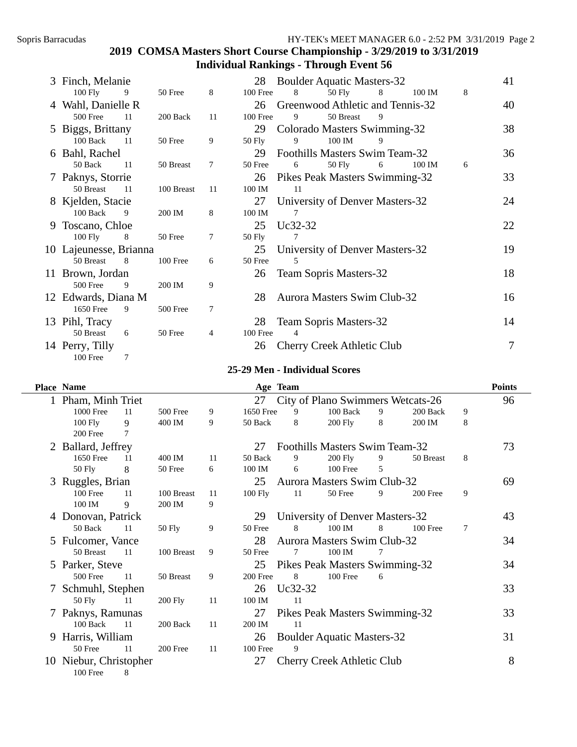| 3 Finch, Melanie<br><b>Boulder Aquatic Masters-32</b><br>28 |                        |      |            |    |            |         |                                    |   |        |   | 41 |
|-------------------------------------------------------------|------------------------|------|------------|----|------------|---------|------------------------------------|---|--------|---|----|
|                                                             | $100$ Fly              | 9    | 50 Free    | 8  | 100 Free   | 8       | 50 Fly                             | 8 | 100 IM | 8 |    |
|                                                             | 4 Wahl, Danielle R     |      |            |    | 26         |         | Greenwood Athletic and Tennis-32   |   |        |   | 40 |
|                                                             | 500 Free               | 11   | 200 Back   | 11 | 100 Free   | 9       | 50 Breast                          | 9 |        |   |    |
|                                                             | 5 Biggs, Brittany      |      |            |    | 29         |         | Colorado Masters Swimming-32       |   |        |   | 38 |
|                                                             | $100$ Back             | 11   | 50 Free    | 9  | 50 Fly     | 9       | 100 IM                             |   |        |   |    |
|                                                             | 6 Bahl, Rachel         |      |            |    | 29         |         | Foothills Masters Swim Team-32     |   |        |   | 36 |
|                                                             | 50 Back                | -11  | 50 Breast  | 7  | 50 Free    | 6       | 50 Fly                             | 6 | 100 IM | 6 |    |
|                                                             | 7 Paknys, Storrie      |      |            |    | 26         |         | Pikes Peak Masters Swimming-32     |   |        |   | 33 |
|                                                             | 50 Breast              | - 11 | 100 Breast | 11 | 100 IM     | 11      |                                    |   |        |   |    |
|                                                             | 8 Kjelden, Stacie      |      |            |    | 27         |         | University of Denver Masters-32    |   |        |   | 24 |
|                                                             | 100 Back               | 9    | 200 IM     | 8  | 100 IM     | 7       |                                    |   |        |   |    |
|                                                             | 9 Toscano, Chloe       |      |            |    | 25         | Uc32-32 |                                    |   |        |   | 22 |
|                                                             | $100$ Fly              | 8    | 50 Free    | 7  | 50 Fly     | 7       |                                    |   |        |   |    |
|                                                             | 10 Lajeunesse, Brianna |      |            |    | 25         |         | University of Denver Masters-32    |   |        |   | 19 |
|                                                             | 50 Breast              | 8    | 100 Free   | 6  | 50 Free    | 5       |                                    |   |        |   |    |
|                                                             | 11 Brown, Jordan       |      |            |    | 26         |         | <b>Team Sopris Masters-32</b>      |   |        |   | 18 |
|                                                             | 500 Free               | 9    | 200 IM     | 9  |            |         |                                    |   |        |   |    |
|                                                             | 12 Edwards, Diana M    |      |            |    | 28         |         | <b>Aurora Masters Swim Club-32</b> |   |        |   | 16 |
|                                                             | 1650 Free              | 9    | 500 Free   | 7  |            |         |                                    |   |        |   |    |
|                                                             | 13 Pihl, Tracy         |      |            |    | 28         |         | Team Sopris Masters-32             |   |        |   | 14 |
|                                                             | 50 Breast              | 6    | 50 Free    | 4  | $100$ Free | 4       |                                    |   |        |   |    |
|                                                             | 14 Perry, Tilly        |      |            |    | 26         |         | Cherry Creek Athletic Club         |   |        |   | 7  |
|                                                             | 100 Free               | 7    |            |    |            |         |                                    |   |        |   |    |

#### **25-29 Men - Individual Scores**

|    | <b>Place Name</b>   |      |                |    |            | Age Team |                                    |   |            |   | <b>Points</b> |
|----|---------------------|------|----------------|----|------------|----------|------------------------------------|---|------------|---|---------------|
|    | 1 Pham, Minh Triet  |      |                |    | 27         |          | City of Plano Swimmers Wetcats-26  |   |            |   | 96            |
|    | 1000 Free           | 11   | 500 Free       | 9  | 1650 Free  | 9        | 100 Back                           | 9 | 200 Back   | 9 |               |
|    | $100$ Fly           | 9    | 400 IM         | 9  | 50 Back    | 8        | 200 Fly                            | 8 | 200 IM     | 8 |               |
|    | 200 Free            | 7    |                |    |            |          |                                    |   |            |   |               |
|    | 2 Ballard, Jeffrey  |      |                |    | 27         |          | Foothills Masters Swim Team-32     |   |            |   | 73            |
|    | 1650 Free           | 11   | 400 IM         | 11 | 50 Back    | 9        | 200 Fly                            | 9 | 50 Breast  | 8 |               |
|    | 50 Fly              | 8    | 50 Free        | 6  | 100 IM     | 6        | 100 Free                           | 5 |            |   |               |
|    | 3 Ruggles, Brian    |      |                |    | 25         |          | <b>Aurora Masters Swim Club-32</b> |   |            |   | 69            |
|    | $100$ Free          | 11   | 100 Breast     | 11 | $100$ Fly  | 11       | 50 Free                            | 9 | 200 Free   | 9 |               |
|    | 100 IM              | 9    | 200 IM         | 9  |            |          |                                    |   |            |   |               |
|    | 4 Donovan, Patrick  |      |                |    | 29         |          | University of Denver Masters-32    |   |            |   | 43            |
|    | 50 Back             | 11   | 50 Fly         | 9  | 50 Free    | 8        | 100 IM                             | 8 | $100$ Free | 7 |               |
|    | 5 Fulcomer, Vance   |      |                |    | 28         |          | <b>Aurora Masters Swim Club-32</b> |   |            |   | 34            |
|    | 50 Breast           | -11  | 100 Breast     | 9  | 50 Free    | 7        | 100 IM                             | 7 |            |   |               |
|    | 5 Parker, Steve     |      |                |    | 25         |          | Pikes Peak Masters Swimming-32     |   |            |   | 34            |
|    | 500 Free            | -11  | 50 Breast      | 9  | 200 Free   | 8        | 100 Free                           | 6 |            |   |               |
|    | 7 Schmuhl, Stephen  |      |                |    | 26         | Uc32-32  |                                    |   |            |   | 33            |
|    | 50 Fly              | -11  | <b>200 Fly</b> | 11 | 100 IM     | -11      |                                    |   |            |   |               |
|    | 7 Paknys, Ramunas   |      |                |    | 27         |          | Pikes Peak Masters Swimming-32     |   |            |   | 33            |
|    | 100 Back            | - 11 | 200 Back       | 11 | 200 IM     | -11      |                                    |   |            |   |               |
| 9  | Harris, William     |      |                |    | 26         |          | <b>Boulder Aquatic Masters-32</b>  |   |            |   | 31            |
|    | 50 Free             | -11  | 200 Free       | 11 | $100$ Free | 9        |                                    |   |            |   |               |
| 10 | Niebur, Christopher |      |                |    | 27         |          | <b>Cherry Creek Athletic Club</b>  |   |            |   | 8             |
|    | 100 Free            | 8    |                |    |            |          |                                    |   |            |   |               |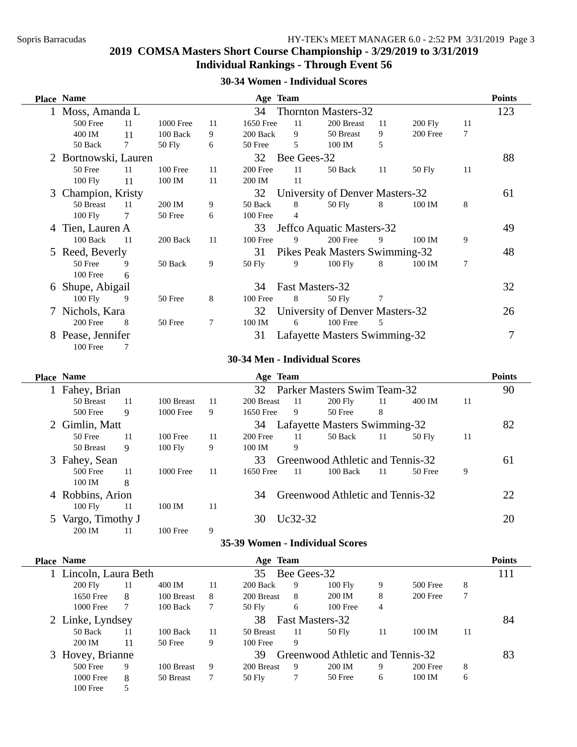### **30-34 Women - Individual Scores**

|   | Place Name           |        |            |    |           | Age Team    |                                 |    |           |    | <b>Points</b> |
|---|----------------------|--------|------------|----|-----------|-------------|---------------------------------|----|-----------|----|---------------|
|   | 1 Moss, Amanda L     |        |            |    | 34        |             | <b>Thornton Masters-32</b>      |    |           |    | 123           |
|   | 500 Free             | 11     | 1000 Free  | 11 | 1650 Free | 11          | 200 Breast                      | 11 | $200$ Fly | 11 |               |
|   | 400 IM               | 11     | 100 Back   | 9  | 200 Back  | 9           | 50 Breast                       | 9  | 200 Free  | 7  |               |
|   | 50 Back              | $\tau$ | 50 Fly     | 6  | 50 Free   | 5           | 100 IM                          | 5  |           |    |               |
|   | 2 Bortnowski, Lauren |        |            |    | 32        | Bee Gees-32 |                                 |    |           |    | 88            |
|   | 50 Free              | 11     | $100$ Free | 11 | 200 Free  | 11          | 50 Back                         | 11 | 50 Fly    | 11 |               |
|   | $100$ Fly            | 11     | 100 IM     | 11 | 200 IM    | -11         |                                 |    |           |    |               |
|   | 3 Champion, Kristy   |        |            |    | 32        |             | University of Denver Masters-32 |    |           |    | 61            |
|   | 50 Breast            | 11     | 200 IM     | 9  | 50 Back   | 8           | 50 Fly                          | 8  | 100 IM    | 8  |               |
|   | $100$ Fly            | 7      | 50 Free    | 6  | 100 Free  | 4           |                                 |    |           |    |               |
| 4 | Tien, Lauren A       |        |            |    | 33        |             | Jeffco Aquatic Masters-32       |    |           |    | 49            |
|   | 100 Back             | 11     | 200 Back   | 11 | 100 Free  | 9           | 200 Free                        | 9  | 100 IM    | 9  |               |
|   | 5 Reed, Beverly      |        |            |    | 31        |             | Pikes Peak Masters Swimming-32  |    |           |    | 48            |
|   | 50 Free              | 9      | 50 Back    | 9  | 50 Fly    | 9           | $100$ Fly                       | 8  | 100 IM    | 7  |               |
|   | 100 Free             | 6      |            |    |           |             |                                 |    |           |    |               |
| 6 | Shupe, Abigail       |        |            |    | 34        |             | Fast Masters-32                 |    |           |    | 32            |
|   | $100$ Fly            | 9      | 50 Free    | 8  | 100 Free  | 8           | 50 Fly                          | 7  |           |    |               |
|   | 7 Nichols, Kara      |        |            |    | 32        |             | University of Denver Masters-32 |    |           |    | 26            |
|   | 200 Free             | -8     | 50 Free    | 7  | 100 IM    | 6           | 100 Free                        | 5  |           |    |               |
| 8 | Pease, Jennifer      |        |            |    | 31        |             | Lafayette Masters Swimming-32   |    |           |    |               |
|   | 100 Free             | 7      |            |    |           |             |                                 |    |           |    |               |

#### **30-34 Men - Individual Scores**

| <b>Place Name</b> |    |            |    | Age Team   |         |                                  |    |          |    | <b>Points</b> |
|-------------------|----|------------|----|------------|---------|----------------------------------|----|----------|----|---------------|
| Fahey, Brian      |    |            |    |            |         | 32 Parker Masters Swim Team-32   |    |          |    | 90            |
| 50 Breast         | 11 | 100 Breast | 11 | 200 Breast | -11     | <b>200 Fly</b>                   | 11 | 400 IM   | 11 |               |
| 500 Free          | 9  | 1000 Free  | 9  | 1650 Free  | 9       | 50 Free                          | 8  |          |    |               |
| 2 Gimlin, Matt    |    |            |    | 34         |         | Lafayette Masters Swimming-32    |    |          |    | 82            |
| 50 Free           | 11 | $100$ Free | 11 | 200 Free   | 11      | 50 Back                          | 11 | $50$ Fly | 11 |               |
| 50 Breast         | 9  | $100$ Fly  | 9  | 100 IM     | 9       |                                  |    |          |    |               |
| 3 Fahey, Sean     |    |            |    | 33         |         | Greenwood Athletic and Tennis-32 |    |          |    | 61            |
| $500$ Free        | 11 | 1000 Free  | 11 | 1650 Free  | -11     | $100$ Back                       | 11 | 50 Free  | 9  |               |
| 100 IM            | 8  |            |    |            |         |                                  |    |          |    |               |
| 4 Robbins, Arion  |    |            |    | 34         |         | Greenwood Athletic and Tennis-32 |    |          |    | 22            |
| 100 Fly           | 11 | 100 IM     | 11 |            |         |                                  |    |          |    |               |
| Vargo, Timothy J  |    |            |    | 30         | Uc32-32 |                                  |    |          |    | 20            |
| 200 IM            | 11 | 100 Free   | 9  |            |         |                                  |    |          |    |               |

### **35-39 Women - Individual Scores**

| <b>Place Name</b>                                          |                       |            |    | Age Team   |             |           |    |            |    | <b>Points</b> |
|------------------------------------------------------------|-----------------------|------------|----|------------|-------------|-----------|----|------------|----|---------------|
| Lincoln, Laura Beth                                        |                       |            |    | 35         | Bee Gees-32 |           |    |            |    | 111           |
| $200$ Fly                                                  | 11                    | 400 IM     | 11 | 200 Back   | 9           | $100$ Fly | 9  | 500 Free   | 8  |               |
| 1650 Free                                                  | 8                     | 100 Breast | 8  | 200 Breast | 8           | 200 IM    | 8  | $200$ Free |    |               |
| 1000 Free                                                  |                       | $100$ Back | 7  | $50$ Fly   | 6           | 100 Free  | 4  |            |    |               |
| 2 Linke, Lyndsey                                           | Fast Masters-32<br>38 |            |    |            |             |           |    |            | 84 |               |
| 50 Back                                                    | 11                    | $100$ Back | 11 | 50 Breast  | -11         | $50$ Fly  | 11 | 100 IM     | 11 |               |
| 200 IM                                                     | 11                    | 50 Free    | 9  | $100$ Free | 9           |           |    |            |    |               |
| 3 Hovey, Brianne<br>Greenwood Athletic and Tennis-32<br>39 |                       |            |    |            |             |           |    | 83         |    |               |
| 500 Free                                                   | 9                     | 100 Breast | 9  | 200 Breast | 9           | 200 IM    | 9  | 200 Free   | 8  |               |
| 1000 Free                                                  | 8                     | 50 Breast  |    | 50 Fly     | 7           | 50 Free   | 6  | 100 IM     | 6  |               |
| 100F                                                       |                       |            |    |            |             |           |    |            |    |               |

100 Free 5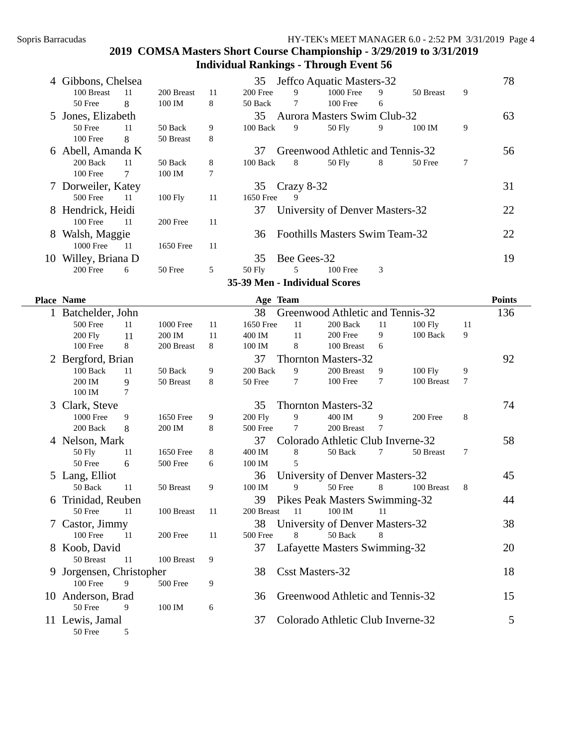|     | 4 Gibbons, Chelsea | Jeffco Aquatic Masters-32<br>35 |            |    |           |              |                                       |   |           | 78 |    |
|-----|--------------------|---------------------------------|------------|----|-----------|--------------|---------------------------------------|---|-----------|----|----|
|     | 100 Breast         | -11                             | 200 Breast | 11 | 200 Free  | 9            | 1000 Free                             | 9 | 50 Breast | 9  |    |
|     | 50 Free            | 8                               | 100 IM     | 8  | 50 Back   | 7            | 100 Free                              | 6 |           |    |    |
|     | 5 Jones, Elizabeth |                                 |            |    | 35        |              | <b>Aurora Masters Swim Club-32</b>    |   |           |    | 63 |
|     | 50 Free            | 11                              | 50 Back    | 9  | 100 Back  | 9            | $50$ Fly                              | 9 | 100 IM    | 9  |    |
|     | 100 Free           | 8                               | 50 Breast  | 8  |           |              |                                       |   |           |    |    |
|     | 6 Abell, Amanda K  |                                 |            |    | 37        |              | Greenwood Athletic and Tennis-32      |   |           |    | 56 |
|     | 200 Back           | -11                             | 50 Back    | 8  | 100 Back  | 8            | 50 Fly                                | 8 | 50 Free   | 7  |    |
|     | 100 Free           | 7                               | 100 IM     | 7  |           |              |                                       |   |           |    |    |
|     | 7 Dorweiler, Katey |                                 |            |    | 35        | $Crazy 8-32$ |                                       |   |           |    | 31 |
|     | 500 Free           | -11                             | $100$ Fly  | 11 | 1650 Free | 9            |                                       |   |           |    |    |
|     | 8 Hendrick, Heidi  |                                 |            |    | 37        |              | University of Denver Masters-32       |   |           |    | 22 |
|     | 100 Free           | -11                             | 200 Free   | 11 |           |              |                                       |   |           |    |    |
| 8   | Walsh, Maggie      |                                 |            |    | 36        |              | <b>Foothills Masters Swim Team-32</b> |   |           |    | 22 |
|     | 1000 Free          | -11                             | 1650 Free  | 11 |           |              |                                       |   |           |    |    |
| 10- | Willey, Briana D   |                                 |            |    | 35        | Bee Gees-32  |                                       |   |           |    | 19 |
|     | 200 Free           | 6                               | 50 Free    | 5  | 50 Fly    | 5            | 100 Free                              | 3 |           |    |    |
|     |                    |                                 |            |    |           |              | 35-39 Men - Individual Scores         |   |           |    |    |

|   | <b>Place Name</b>      |    |                  |    | Age Team        |                |                                   |    |                |    | <b>Points</b> |
|---|------------------------|----|------------------|----|-----------------|----------------|-----------------------------------|----|----------------|----|---------------|
|   | Batchelder, John       |    |                  |    | 38              |                | Greenwood Athletic and Tennis-32  |    |                |    | 136           |
|   | 500 Free               | 11 | <b>1000 Free</b> | 11 | 1650 Free       | 11             | 200 Back                          | 11 | <b>100 Fly</b> | 11 |               |
|   | 200 Fly                | 11 | 200 IM           | 11 | 400 IM          | 11             | 200 Free                          | 9  | 100 Back       | 9  |               |
|   | 100 Free               | 8  | 200 Breast       | 8  | 100 IM          | 8              | 100 Breast                        | 6  |                |    |               |
|   | 2 Bergford, Brian      |    |                  |    | 37              |                | <b>Thornton Masters-32</b>        |    |                |    | 92            |
|   | 100 Back               | 11 | 50 Back          | 9  | 200 Back        | 9              | 200 Breast                        | 9  | 100 Fly        | 9  |               |
|   | 200 IM                 | 9  | 50 Breast        | 8  | 50 Free         | $\tau$         | 100 Free                          | 7  | 100 Breast     | 7  |               |
|   | 100 IM                 | 7  |                  |    |                 |                |                                   |    |                |    |               |
|   | 3 Clark, Steve         |    |                  |    | 35              |                | <b>Thornton Masters-32</b>        |    |                |    | 74            |
|   | <b>1000 Free</b>       | 9  | 1650 Free        | 9  | <b>200 Fly</b>  | 9              | 400 IM                            | 9  | 200 Free       | 8  |               |
|   | 200 Back               | 8  | 200 IM           | 8  | <b>500 Free</b> | 7              | 200 Breast                        | 7  |                |    |               |
|   | 4 Nelson, Mark         |    |                  |    | 37              |                | Colorado Athletic Club Inverne-32 |    |                |    | 58            |
|   | 50 Fly                 | 11 | 1650 Free        | 8  | 400 IM          | 8              | 50 Back                           | 7  | 50 Breast      | 7  |               |
|   | 50 Free                | 6  | 500 Free         | 6  | 100 IM          | $\overline{5}$ |                                   |    |                |    |               |
|   | 5 Lang, Elliot         |    |                  |    | 36              |                | University of Denver Masters-32   |    |                |    | 45            |
|   | 50 Back                | 11 | 50 Breast        | 9  | 100 IM          | 9              | 50 Free                           | 8  | 100 Breast     | 8  |               |
| 6 | Trinidad, Reuben       |    |                  |    | 39              |                | Pikes Peak Masters Swimming-32    |    |                |    | 44            |
|   | 50 Free                | 11 | 100 Breast       | 11 | 200 Breast      | 11             | 100 IM                            | 11 |                |    |               |
|   | Castor, Jimmy          |    |                  |    | 38              |                | University of Denver Masters-32   |    |                |    | 38            |
|   | 100 Free               | 11 | 200 Free         | 11 | 500 Free        | 8              | 50 Back                           | 8  |                |    |               |
| 8 | Koob, David            |    |                  |    | 37              |                | Lafayette Masters Swimming-32     |    |                |    | 20            |
|   | 50 Breast              | 11 | 100 Breast       | 9  |                 |                |                                   |    |                |    |               |
|   | Jorgensen, Christopher |    |                  |    | 38              |                | <b>Csst Masters-32</b>            |    |                |    | 18            |
|   | $100$ Free             | 9  | 500 Free         | 9  |                 |                |                                   |    |                |    |               |
|   | 10 Anderson, Brad      |    |                  |    | 36              |                | Greenwood Athletic and Tennis-32  |    |                |    | 15            |
|   | 50 Free                | 9  | 100 IM           | 6  |                 |                |                                   |    |                |    |               |
|   | 11 Lewis, Jamal        |    |                  |    | 37              |                | Colorado Athletic Club Inverne-32 |    |                |    | 5             |
|   | 50 Free                | 5  |                  |    |                 |                |                                   |    |                |    |               |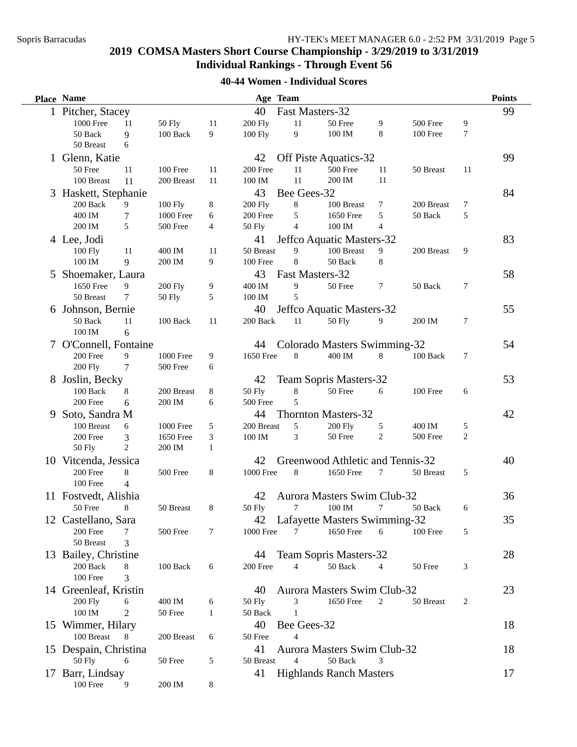# **40-44 Women - Individual Scores**

|   | <b>Place Name</b>                          |                |                  |              |                  | Age Team        |                                    |                |            |              | <b>Points</b> |
|---|--------------------------------------------|----------------|------------------|--------------|------------------|-----------------|------------------------------------|----------------|------------|--------------|---------------|
|   | 1 Pitcher, Stacey<br>40<br>Fast Masters-32 |                |                  |              |                  |                 |                                    |                |            |              | 99            |
|   | 1000 Free                                  | 11             | <b>50 Fly</b>    | 11           | <b>200 Fly</b>   | 11              | 50 Free                            | 9              | 500 Free   | 9            |               |
|   | 50 Back                                    | 9              | 100 Back         | 9            | 100 Fly          | 9               | $100\ \mathrm{IM}$                 | 8              | 100 Free   | 7            |               |
|   | 50 Breast                                  | 6              |                  |              |                  |                 |                                    |                |            |              |               |
|   | 1 Glenn, Katie                             |                |                  |              | 42               |                 | Off Piste Aquatics-32              |                |            |              | 99            |
|   | 50 Free                                    | 11             | 100 Free         | 11           | 200 Free         | 11              | 500 Free                           | 11             | 50 Breast  | 11           |               |
|   | 100 Breast                                 | 11             | 200 Breast       | 11           | 100 IM           | 11              | 200 IM                             | 11             |            |              |               |
|   | 3 Haskett, Stephanie                       |                |                  |              | 43               | Bee Gees-32     |                                    |                |            |              | 84            |
|   | 200 Back                                   | 9              | 100 Fly          | 8            | <b>200 Fly</b>   | $\bf 8$         | 100 Breast                         | 7              | 200 Breast | 7            |               |
|   | 400 IM                                     | $\tau$         | 1000 Free        | 6            | 200 Free         | 5               | 1650 Free                          | 5              | 50 Back    | 5            |               |
|   | 200 IM                                     | 5              | 500 Free         | 4            | <b>50 Fly</b>    | $\overline{4}$  | 100 IM                             | $\overline{4}$ |            |              |               |
|   | 4 Lee, Jodi                                |                |                  |              | 41               |                 | Jeffco Aquatic Masters-32          |                |            |              | 83            |
|   | $100$ Fly                                  | 11             | 400 IM           | 11           | 50 Breast        | 9               | 100 Breast                         | 9              | 200 Breast | 9            |               |
|   | 100 IM                                     | 9              | 200 IM           | 9            | 100 Free         | 8               | 50 Back                            | 8              |            |              |               |
|   | 5 Shoemaker, Laura                         |                |                  |              | 43               | Fast Masters-32 |                                    |                |            |              | 58            |
|   | 1650 Free                                  | 9              | <b>200 Fly</b>   | 9            | 400 IM           | 9               | 50 Free                            | 7              | 50 Back    | 7            |               |
|   | 50 Breast                                  | 7              | <b>50 Fly</b>    | 5            | 100 IM           | 5               |                                    |                |            |              |               |
|   | 6 Johnson, Bernie                          |                |                  |              | 40               |                 | Jeffco Aquatic Masters-32          |                |            |              | 55            |
|   | 50 Back                                    | 11             | 100 Back         | 11           | 200 Back         | 11              | 50 Fly                             | 9              | 200 IM     | 7            |               |
|   | 100 IM                                     | 6              |                  |              |                  |                 |                                    |                |            |              |               |
|   | 7 O'Connell, Fontaine                      |                |                  |              | 44               |                 | Colorado Masters Swimming-32       |                |            |              | 54            |
|   | 200 Free                                   | 9              | <b>1000 Free</b> | 9            | 1650 Free        | 8               | 400 IM                             | 8              | 100 Back   | 7            |               |
|   | <b>200 Fly</b>                             | 7              | 500 Free         | 6            |                  |                 |                                    |                |            |              |               |
| 8 | Joslin, Becky                              |                |                  |              | 42               |                 | <b>Team Sopris Masters-32</b>      |                |            |              | 53            |
|   | 100 Back                                   | 8              | 200 Breast       | 8            | <b>50 Fly</b>    | 8               | 50 Free                            | 6              | 100 Free   | 6            |               |
|   | 200 Free                                   | 6              | 200 IM           | 6            | 500 Free         | 5               |                                    |                |            |              |               |
| 9 | Soto, Sandra M                             |                |                  |              | 44               |                 | <b>Thornton Masters-32</b>         |                |            |              | 42            |
|   | 100 Breast                                 | 6              | 1000 Free        | 5            | 200 Breast       | 5               | <b>200 Fly</b>                     | 5              | 400 IM     | 5            |               |
|   | 200 Free                                   | 3              | 1650 Free        | 3            | 100 IM           | 3               | 50 Free                            | $\overline{c}$ | 500 Free   | $\mathbf{2}$ |               |
|   | <b>50 Fly</b>                              | $\overline{c}$ | 200 IM           | $\mathbf{1}$ |                  |                 |                                    |                |            |              |               |
|   | 10 Vitcenda, Jessica                       |                |                  |              | 42               |                 | Greenwood Athletic and Tennis-32   |                |            |              | 40            |
|   | 200 Free                                   | 8              | 500 Free         | 8            | <b>1000 Free</b> | 8               | 1650 Free                          | 7              | 50 Breast  | 5            |               |
|   | 100 Free                                   | $\overline{4}$ |                  |              |                  |                 |                                    |                |            |              |               |
|   | 11 Fostvedt, Alishia                       |                |                  |              | 42               |                 | <b>Aurora Masters Swim Club-32</b> |                |            |              | 36            |
|   | 50 Free                                    | 8              | 50 Breast        | 8            | 50 Fly           | 7               | 100 IM                             | 7              | 50 Back    | 6            |               |
|   | 12 Castellano, Sara                        |                |                  |              |                  |                 | 42 Lafayette Masters Swimming-32   |                |            |              | 35            |
|   | 200 Free                                   | 7              | 500 Free         | 7            | 1000 Free        | 7               | 1650 Free                          | 6              | 100 Free   | 5            |               |
|   | 50 Breast                                  | 3              |                  |              |                  |                 |                                    |                |            |              |               |
|   | 13 Bailey, Christine                       |                |                  |              | 44               |                 | Team Sopris Masters-32             |                |            |              | 28            |
|   | 200 Back                                   | 8              | 100 Back         | 6            | 200 Free         | 4               | 50 Back                            | 4              | 50 Free    | 3            |               |
|   | 100 Free                                   | 3              |                  |              |                  |                 |                                    |                |            |              |               |
|   | 14 Greenleaf, Kristin                      |                |                  |              | 40               |                 | Aurora Masters Swim Club-32        |                |            |              | 23            |
|   | <b>200 Fly</b>                             | 6              | 400 IM           | 6            | 50 Fly           | 3               | 1650 Free                          | 2              | 50 Breast  | 2            |               |
|   | $100\ \mathrm{IM}$                         | 2              | 50 Free          | 1            | 50 Back          | 1               |                                    |                |            |              |               |
|   | 15 Wimmer, Hilary                          |                |                  |              | 40               | Bee Gees-32     |                                    |                |            |              | 18            |
|   | 100 Breast                                 | 8              | 200 Breast       | 6            | 50 Free          | 4               |                                    |                |            |              |               |
|   | 15 Despain, Christina                      |                |                  |              | 41               |                 | Aurora Masters Swim Club-32        |                |            |              | 18            |
|   | 50 Fly                                     | 6              | 50 Free          | 5            | 50 Breast        | $\overline{4}$  | 50 Back                            | 3              |            |              |               |
|   | 17 Barr, Lindsay                           |                |                  |              | 41               |                 | <b>Highlands Ranch Masters</b>     |                |            |              | 17            |
|   | 100 Free                                   | 9              | 200 IM           | 8            |                  |                 |                                    |                |            |              |               |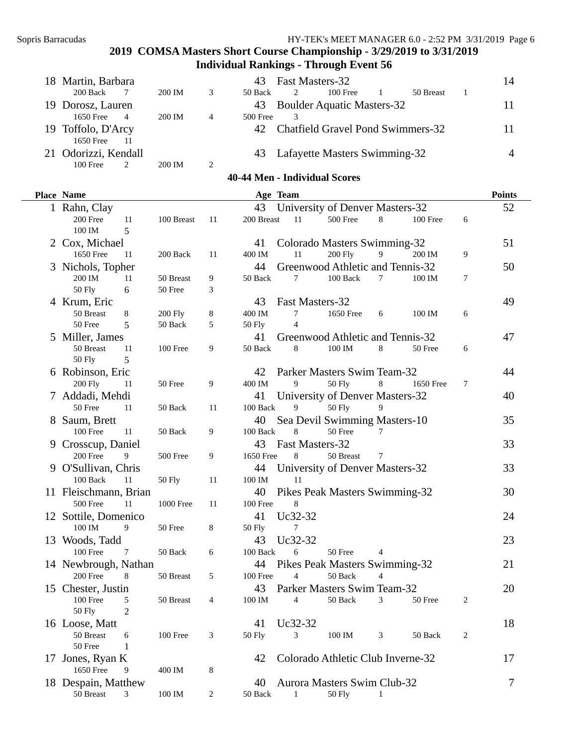| 18 Martin, Barbara   |                |        |   |          | 43 Fast Masters-32 |                                      |           | 14 |
|----------------------|----------------|--------|---|----------|--------------------|--------------------------------------|-----------|----|
| 200 Back             |                | 200 IM | 3 | 50 Back  | 2                  | $100$ Free                           | 50 Breast |    |
| 19 Dorosz, Lauren    |                |        |   |          |                    | 43 Boulder Aquatic Masters-32        |           |    |
| 1650 Free            | $\overline{4}$ | 200 IM | 4 | 500 Free |                    |                                      |           |    |
| 19 Toffolo, D'Arcy   |                |        |   |          |                    | 42 Chatfield Gravel Pond Swimmers-32 |           |    |
| 1650 Free            | 11             |        |   |          |                    |                                      |           |    |
| 21 Odorizzi, Kendall |                |        |   |          |                    | 43 Lafayette Masters Swimming-32     |           |    |
| $100$ Free           |                | 200 IM | 2 |          |                    |                                      |           |    |

#### **40-44 Men - Individual Scores**

| Place Name               |                  |                  |               | Age Team                           |                |                |           |        | <b>Points</b> |
|--------------------------|------------------|------------------|---------------|------------------------------------|----------------|----------------|-----------|--------|---------------|
| 1 Rahn, Clay             |                  |                  | 43            | University of Denver Masters-32    |                |                |           |        | 52            |
| 200 Free<br>11           | 100 Breast       | 11               | 200 Breast    | 11                                 | 500 Free       | 8              | 100 Free  | 6      |               |
| 100 IM<br>5              |                  |                  |               |                                    |                |                |           |        |               |
| 2 Cox, Michael           |                  |                  | 41            | Colorado Masters Swimming-32       |                |                |           |        | 51            |
| 1650 Free<br>11          | 200 Back         | 11               | 400 IM        | 11                                 | <b>200 Fly</b> | $\overline{9}$ | 200 IM    | 9      |               |
| 3 Nichols, Topher        |                  |                  | 44            | Greenwood Athletic and Tennis-32   |                |                |           |        | 50            |
| 200 IM<br>11             | 50 Breast        | 9                | 50 Back       | $\tau$                             | 100 Back       | $\tau$         | 100 IM    | $\tau$ |               |
| <b>50 Fly</b><br>$6\,$   | 50 Free          | 3                |               |                                    |                |                |           |        |               |
| 4 Krum, Eric             |                  |                  | 43            | Fast Masters-32                    |                |                |           |        | 49            |
| 50 Breast<br>8           | <b>200 Fly</b>   | 8                | 400 IM        | 7                                  | 1650 Free      | 6              | 100 IM    | 6      |               |
| 5<br>50 Free             | 50 Back          | 5                | <b>50 Fly</b> | $\overline{4}$                     |                |                |           |        |               |
| 5 Miller, James          |                  |                  | 41            | Greenwood Athletic and Tennis-32   |                |                |           |        | 47            |
| 50 Breast<br>11          | 100 Free         | 9                | 50 Back       | 8                                  | 100 IM         | 8              | 50 Free   | 6      |               |
| <b>50 Fly</b><br>5       |                  |                  |               |                                    |                |                |           |        |               |
| 6 Robinson, Eric         |                  |                  | 42            | Parker Masters Swim Team-32        |                |                |           |        | 44            |
| <b>200 Fly</b><br>11     | 50 Free          | 9                | 400 IM        | 9                                  | <b>50 Fly</b>  | 8              | 1650 Free | 7      |               |
| 7 Addadi, Mehdi          |                  |                  | 41            | University of Denver Masters-32    |                |                |           |        | 40            |
| 50 Free<br>11            | 50 Back          | 11               | 100 Back      | 9                                  | <b>50 Fly</b>  | 9              |           |        |               |
| 8 Saum, Brett            |                  |                  | 40            | Sea Devil Swimming Masters-10      |                |                |           |        | 35            |
| 100 Free<br>11           | 50 Back          | 9                | 100 Back      | 8                                  | 50 Free        | 7              |           |        |               |
| 9 Crosscup, Daniel       |                  |                  | 43            | Fast Masters-32                    |                |                |           |        | 33            |
| 200 Free<br>9            | 500 Free         | 9                | 1650 Free     | 8                                  | 50 Breast      | 7              |           |        |               |
| 9 O'Sullivan, Chris      |                  |                  | 44            | University of Denver Masters-32    |                |                |           |        | 33            |
| 100 Back<br>11           | <b>50 Fly</b>    | 11               | 100 IM        | 11                                 |                |                |           |        |               |
| 11 Fleischmann, Brian    |                  |                  | 40            | Pikes Peak Masters Swimming-32     |                |                |           |        | 30            |
| 500 Free<br>11           | <b>1000 Free</b> | 11               | 100 Free      | 8                                  |                |                |           |        |               |
| 12 Sottile, Domenico     |                  |                  | 41            | Uc32-32                            |                |                |           |        | 24            |
| 100 IM<br>9              | 50 Free          | $\,8\,$          | 50 Fly        | 7                                  |                |                |           |        |               |
| 13 Woods, Tadd           |                  |                  | 43            | Uc32-32                            |                |                |           |        | 23            |
| 100 Free<br>7            | 50 Back          | 6                | 100 Back      | 6                                  | 50 Free        | 4              |           |        |               |
| 14 Newbrough, Nathan     |                  |                  | 44            | Pikes Peak Masters Swimming-32     |                |                |           |        | 21            |
| 200 Free<br>8            | 50 Breast        | 5                | 100 Free      | $\overline{4}$                     | 50 Back        | 4              |           |        |               |
| 15 Chester, Justin       |                  |                  | 43            | Parker Masters Swim Team-32        |                |                |           |        | 20            |
| 100 Free<br>5            | 50 Breast        | 4                | 100 IM        | 4                                  | 50 Back        | 3              | 50 Free   | 2      |               |
| $\overline{2}$<br>50 Fly |                  |                  |               |                                    |                |                |           |        |               |
| 16 Loose, Matt           |                  |                  | 41            | Uc32-32                            |                |                |           |        | 18            |
| 50 Breast<br>6           | $100$ Free       | 3                | <b>50 Fly</b> | 3                                  | 100 IM         | 3              | 50 Back   | 2      |               |
| 50 Free<br>$\mathbf{1}$  |                  |                  |               |                                    |                |                |           |        |               |
| 17 Jones, Ryan K         |                  |                  | 42            | Colorado Athletic Club Inverne-32  |                |                |           |        | 17            |
| 1650 Free<br>9           | 400 IM           | 8                |               |                                    |                |                |           |        |               |
| 18 Despain, Matthew      |                  |                  | 40            | <b>Aurora Masters Swim Club-32</b> |                |                |           |        | 7             |
| 50 Breast<br>3           | 100 IM           | $\boldsymbol{2}$ | 50 Back       | 1                                  | <b>50 Fly</b>  | $\mathbf{1}$   |           |        |               |
|                          |                  |                  |               |                                    |                |                |           |        |               |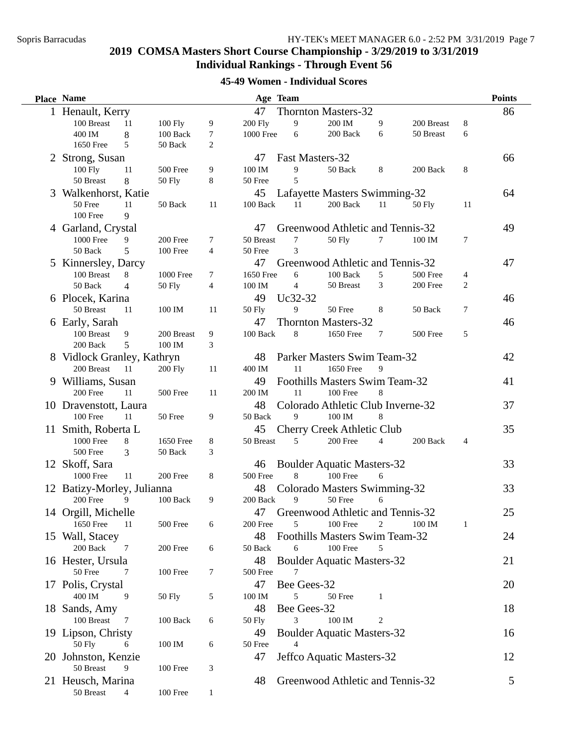# **45-49 Women - Individual Scores**

| <b>Place Name</b>          |                |               |                |               | Age Team        |                                     |                |               |                | <b>Points</b> |
|----------------------------|----------------|---------------|----------------|---------------|-----------------|-------------------------------------|----------------|---------------|----------------|---------------|
| 1 Henault, Kerry           |                |               |                | 47            |                 | <b>Thornton Masters-32</b>          |                |               |                | 86            |
| 100 Breast                 | 11             | 100 Fly       | 9              | 200 Fly       | 9               | 200 IM                              | 9              | 200 Breast    | 8              |               |
| 400 IM                     | $\,8\,$        | 100 Back      | 7              | 1000 Free     | 6               | 200 Back                            | 6              | 50 Breast     | 6              |               |
| 1650 Free                  | 5              | 50 Back       | $\overline{c}$ |               |                 |                                     |                |               |                |               |
| 2 Strong, Susan            |                |               |                | 47            | Fast Masters-32 |                                     |                |               |                | 66            |
| 100 Fly                    | 11             | 500 Free      | 9              | 100 IM        | 9               | 50 Back                             | 8              | 200 Back      | 8              |               |
| 50 Breast                  | 8              | <b>50 Fly</b> | 8              | 50 Free       | 5               |                                     |                |               |                |               |
| 3 Walkenhorst, Katie       |                |               |                | 45            |                 | Lafayette Masters Swimming-32       |                |               |                | 64            |
| 50 Free                    | 11             | 50 Back       | 11             | 100 Back      | 11              | 200 Back                            | 11             | <b>50 Fly</b> | 11             |               |
| 100 Free                   | 9              |               |                |               |                 |                                     |                |               |                |               |
| 4 Garland, Crystal         |                |               |                | 47            |                 | Greenwood Athletic and Tennis-32    |                |               |                | 49            |
| <b>1000 Free</b>           | 9              | 200 Free      | 7              | 50 Breast     | 7               | <b>50 Fly</b>                       | 7              | 100 IM        | 7              |               |
| 50 Back                    | 5              | 100 Free      | $\overline{4}$ | 50 Free       | 3               |                                     |                |               |                |               |
| 5 Kinnersley, Darcy        |                |               |                | 47            |                 | Greenwood Athletic and Tennis-32    |                |               |                | 47            |
| 100 Breast                 | 8              | 1000 Free     | 7              | 1650 Free     | 6               | 100 Back                            | 5              | 500 Free      | 4              |               |
| 50 Back                    | $\overline{4}$ | 50 Fly        | 4              | 100 IM        | $\overline{4}$  | 50 Breast                           | $\mathfrak{Z}$ | 200 Free      | $\overline{c}$ |               |
| 6 Plocek, Karina           |                |               |                | 49            | Uc32-32         |                                     |                |               |                | 46            |
| 50 Breast                  | 11             | 100 IM        | 11             | 50 Fly        | 9               | 50 Free                             | 8              | 50 Back       | 7              |               |
| 6 Early, Sarah             |                |               |                | 47            |                 | <b>Thornton Masters-32</b>          |                |               |                | 46            |
| 100 Breast                 | 9              | 200 Breast    | 9              | 100 Back      | 8               | 1650 Free                           | $\tau$         | 500 Free      | 5              |               |
| 200 Back                   | 5              | 100 IM        | 3              |               |                 |                                     |                |               |                |               |
| 8 Vidlock Granley, Kathryn |                |               |                | 48            |                 | Parker Masters Swim Team-32         |                |               |                | 42            |
| 200 Breast                 | -11            | 200 Fly       | 11             | 400 IM        | 11              | 1650 Free                           | 9              |               |                |               |
| 9 Williams, Susan          |                |               |                | 49            |                 | Foothills Masters Swim Team-32      |                |               |                | 41            |
| 200 Free                   | 11             | 500 Free      | 11             | 200 IM        | 11              | 100 Free                            | 8              |               |                |               |
| 10 Dravenstott, Laura      |                |               |                | 48            |                 | Colorado Athletic Club Inverne-32   |                |               |                | 37            |
| 100 Free                   | 11             | 50 Free       | 9              | 50 Back       | 9               | 100 IM                              | 8              |               |                |               |
| 11 Smith, Roberta L        |                |               |                | 45            |                 | Cherry Creek Athletic Club          |                |               |                | 35            |
| 1000 Free                  | 8              | 1650 Free     | 8              | 50 Breast     | 5               | 200 Free                            | $\overline{4}$ | 200 Back      | $\overline{4}$ |               |
| 500 Free                   | 3              | 50 Back       | 3              |               |                 |                                     |                |               |                |               |
| 12 Skoff, Sara             |                |               |                | 46            |                 | <b>Boulder Aquatic Masters-32</b>   |                |               |                | 33            |
| 1000 Free                  | 11             | 200 Free      | 8              | 500 Free      | 8               | 100 Free                            | 6              |               |                |               |
| 12 Batizy-Morley, Julianna |                |               |                | 48            |                 | Colorado Masters Swimming-32        |                |               |                | 33            |
| 200 Free                   | 9              | 100 Back      | 9              | 200 Back      | 9               | 50 Free                             | 6              |               |                |               |
| 14 Orgill, Michelle        |                |               |                |               |                 | 47 Greenwood Athletic and Tennis-32 |                |               |                | 25            |
| 1650 Free                  | 11             | 500 Free      | 6              | 200 Free      | 5               | 100 Free                            | 2              | 100 IM        | -1             |               |
| 15 Wall, Stacey            |                |               |                | 48            |                 | Foothills Masters Swim Team-32      |                |               |                | 24            |
| 200 Back                   | 7              | 200 Free      | 6              | 50 Back       | 6               | 100 Free                            | 5              |               |                |               |
| 16 Hester, Ursula          |                |               |                | 48            |                 | <b>Boulder Aquatic Masters-32</b>   |                |               |                | 21            |
| 50 Free                    | 7              | 100 Free      | 7              | 500 Free      | 7               |                                     |                |               |                |               |
| 17 Polis, Crystal          |                |               |                | 47            | Bee Gees-32     |                                     |                |               |                | 20            |
| 400 IM                     | 9              | 50 Fly        | 5              | 100 IM        | 5               | 50 Free                             | 1              |               |                |               |
| 18 Sands, Amy              |                |               |                | 48            | Bee Gees-32     |                                     |                |               |                | 18            |
| 100 Breast                 | 7              | 100 Back      | 6              | <b>50 Fly</b> | 3               | $100\ \mathrm{IM}$                  | 2              |               |                |               |
| 19 Lipson, Christy         |                |               |                | 49            |                 | <b>Boulder Aquatic Masters-32</b>   |                |               |                | 16            |
| <b>50 Fly</b>              | 6              | 100 IM        | 6              | 50 Free       | $\overline{4}$  |                                     |                |               |                |               |
| 20 Johnston, Kenzie        |                |               |                | 47            |                 | Jeffco Aquatic Masters-32           |                |               |                | 12            |
| 50 Breast                  | 9              | 100 Free      | 3              |               |                 |                                     |                |               |                |               |
| 21 Heusch, Marina          |                |               |                | 48            |                 | Greenwood Athletic and Tennis-32    |                |               |                | 5             |
| 50 Breast                  | $\overline{4}$ | 100 Free      | $\mathbf{1}$   |               |                 |                                     |                |               |                |               |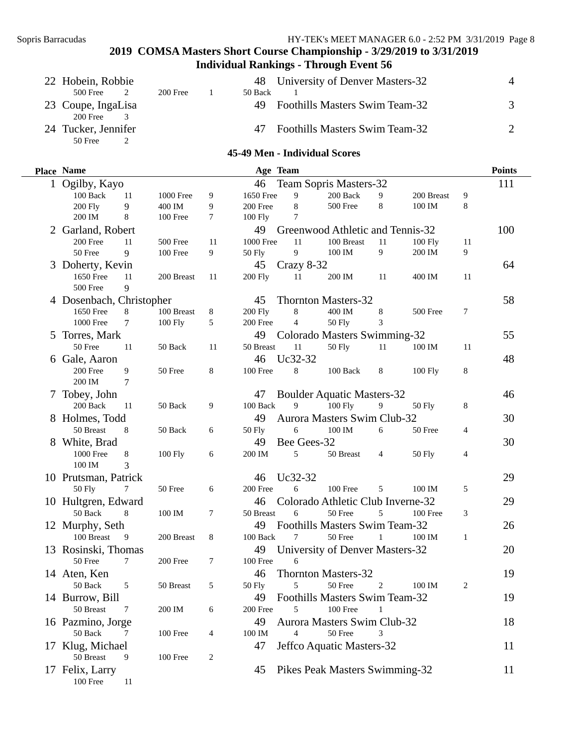| 22 Hobein, Robbie                |            | 48      | University of Denver Masters-32       |  |
|----------------------------------|------------|---------|---------------------------------------|--|
| $500$ Free                       | $200$ Free | 50 Back |                                       |  |
| 23 Coupe, IngaLisa<br>200 Free 3 |            | 49.     | <b>Foothills Masters Swim Team-32</b> |  |
| 24 Tucker, Jennifer<br>50 Free   |            | 47      | <b>Foothills Masters Swim Team-32</b> |  |

#### **45-49 Men - Individual Scores**

| Place Name                                                                                   |                      |    | Age Team                                  |                |                                                                                                   |    |                    |                | <b>Points</b>  |
|----------------------------------------------------------------------------------------------|----------------------|----|-------------------------------------------|----------------|---------------------------------------------------------------------------------------------------|----|--------------------|----------------|----------------|
| 1 Ogilby, Kayo                                                                               |                      |    | 46                                        |                | Team Sopris Masters-32                                                                            |    |                    |                | 111            |
| 100 Back<br>11                                                                               | 1000 Free            | 9  | 1650 Free                                 | 9              | 200 Back                                                                                          | 9  | 200 Breast         | 9              |                |
| 200 Fly<br>9                                                                                 | 400 IM               | 9  | 200 Free                                  | $\,8\,$        | 500 Free                                                                                          | 8  | 100 IM             | 8              |                |
| 200 IM<br>8                                                                                  | 100 Free             | 7  | $100$ Fly                                 | 7              |                                                                                                   |    |                    |                |                |
| Garland, Robert                                                                              |                      |    | 49                                        |                | Greenwood Athletic and Tennis-32                                                                  |    |                    |                | 100            |
| 200 Free<br>11                                                                               | 500 Free             | 11 | <b>1000 Free</b>                          | 11             | 100 Breast                                                                                        | 11 | $100$ Fly          | 11             |                |
| 50 Free<br>9                                                                                 | 100 Free             | 9  | 50 Fly                                    | 9              | 100 IM                                                                                            | 9  | 200 IM             | 9              |                |
| 3 Doherty, Kevin                                                                             |                      |    | 45                                        | Crazy 8-32     |                                                                                                   |    |                    |                | 64             |
| 1650 Free<br>11                                                                              | 200 Breast           | 11 | <b>200 Fly</b>                            | 11             | 200 IM                                                                                            | 11 | 400 IM             | 11             |                |
| 500 Free<br>9                                                                                |                      |    |                                           |                |                                                                                                   |    |                    |                |                |
| 4 Dosenbach, Christopher                                                                     |                      |    | 45                                        |                | <b>Thornton Masters-32</b>                                                                        |    |                    |                | 58             |
| 8<br>1650 Free                                                                               | 100 Breast           | 8  | <b>200 Fly</b>                            | 8              | 400 IM                                                                                            | 8  | 500 Free           | 7              |                |
| $\tau$<br><b>1000 Free</b>                                                                   | 100 Fly              | 5  | 200 Free                                  | $\overline{4}$ | <b>50 Fly</b>                                                                                     | 3  |                    |                |                |
| 5 Torres, Mark                                                                               |                      |    | 49                                        |                | Colorado Masters Swimming-32                                                                      |    |                    |                | 55             |
| 50 Free<br>11                                                                                | 50 Back              | 11 | 50 Breast                                 | 11             | <b>50 Fly</b>                                                                                     | 11 | $100\ \mathrm{IM}$ | 11             |                |
| 6 Gale, Aaron                                                                                |                      |    | 46                                        | Uc32-32        |                                                                                                   |    |                    |                | 48             |
| 200 Free<br>9                                                                                | 50 Free              | 8  | 100 Free                                  | 8              | 100 Back                                                                                          | 8  | 100 Fly            | 8              |                |
| 200 IM<br>$\tau$                                                                             |                      |    |                                           |                |                                                                                                   |    |                    |                |                |
| Tobey, John                                                                                  |                      |    | 47                                        |                | <b>Boulder Aquatic Masters-32</b>                                                                 |    |                    |                | 46             |
| 200 Back<br>11                                                                               | 50 Back              | 9  | 100 Back                                  | 9              | 100 Fly                                                                                           | 9  | 50 Fly             | 8              |                |
| 8 Holmes, Todd                                                                               |                      |    | 49                                        |                | Aurora Masters Swim Club-32                                                                       |    |                    |                | 30             |
| 50 Breast<br>8                                                                               | 50 Back              |    |                                           |                | 100 IM                                                                                            | 6  | 50 Free            |                |                |
|                                                                                              |                      | 6  | 50 Fly                                    | 6              |                                                                                                   |    |                    | $\overline{4}$ |                |
| 8 White, Brad                                                                                |                      |    | 49                                        | Bee Gees-32    |                                                                                                   |    |                    |                | 30             |
| $\,8\,$<br>1000 Free                                                                         | 100 Fly              | 6  | 200 IM                                    | 5              | 50 Breast                                                                                         | 4  | 50 Fly             | 4              |                |
| 3<br>100 IM                                                                                  |                      |    |                                           |                |                                                                                                   |    |                    |                |                |
| 10 Prutsman, Patrick                                                                         |                      |    | 46                                        | Uc32-32        |                                                                                                   |    |                    |                | 29             |
| <b>50 Fly</b><br>7                                                                           | 50 Free              | 6  | 200 Free                                  | 6              | 100 Free                                                                                          | 5  | 100 IM             | 5              |                |
| 10 Hultgren, Edward                                                                          |                      |    | 46                                        |                | Colorado Athletic Club Inverne-32                                                                 |    |                    |                | 29             |
| 50 Back<br>8                                                                                 | 100 IM               | 7  | 50 Breast                                 | 6              | 50 Free                                                                                           | 5  | 100 Free           | 3              |                |
| 12 Murphy, Seth                                                                              |                      |    | 49                                        |                | Foothills Masters Swim Team-32                                                                    |    |                    |                | 26             |
| 100 Breast<br>9                                                                              | 200 Breast           | 8  | 100 Back                                  | 7              | 50 Free                                                                                           | 1  | 100 IM             | $\mathbf{1}$   |                |
| 13 Rosinski, Thomas                                                                          |                      |    | 49                                        |                | University of Denver Masters-32                                                                   |    |                    |                | 20             |
| 50 Free<br>7                                                                                 | 200 Free             | 7  | 100 Free                                  | 6              |                                                                                                   |    |                    |                |                |
| 14 Aten, Ken                                                                                 |                      |    | 46                                        |                | <b>Thornton Masters-32</b>                                                                        |    |                    |                | 19             |
| 5<br>50 Back                                                                                 | 50 Breast            | 5  |                                           | 5              | 50 Free                                                                                           | 2  | 100 IM             | 2              |                |
| 14 Burrow, Bill                                                                              |                      |    | 49                                        |                | Foothills Masters Swim Team-32                                                                    |    |                    |                | 19             |
| 50 Breast<br>7                                                                               | 200 IM               | 6  | 200 Free                                  | 5              | 100 Free                                                                                          |    |                    |                |                |
|                                                                                              |                      |    |                                           |                |                                                                                                   |    |                    |                |                |
| 50 Back<br>7                                                                                 |                      | 4  |                                           | 4              | 50 Free                                                                                           | 3  |                    |                |                |
|                                                                                              |                      |    |                                           |                |                                                                                                   |    |                    |                |                |
|                                                                                              |                      |    |                                           |                |                                                                                                   |    |                    |                |                |
|                                                                                              |                      |    |                                           |                |                                                                                                   |    |                    |                |                |
|                                                                                              |                      |    |                                           |                |                                                                                                   |    |                    |                |                |
| 16 Pazmino, Jorge<br>17 Klug, Michael<br>50 Breast<br>9<br>17 Felix, Larry<br>100 Free<br>11 | 100 Free<br>100 Free | 2  | <b>50 Fly</b><br>49<br>100 IM<br>47<br>45 |                | <b>Aurora Masters Swim Club-32</b><br>Jeffco Aquatic Masters-32<br>Pikes Peak Masters Swimming-32 |    |                    |                | 18<br>11<br>11 |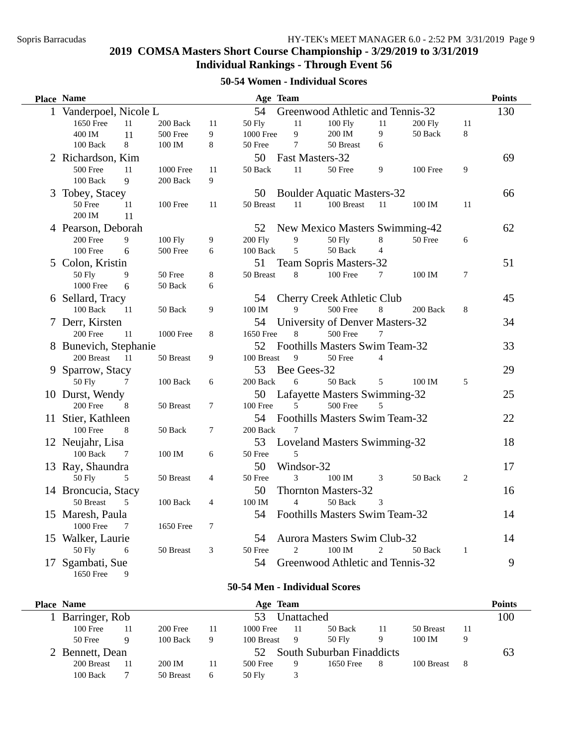#### **50-54 Women - Individual Scores**

| <b>Place Name</b><br>Age Team                                                            |                           | <b>Points</b> |
|------------------------------------------------------------------------------------------|---------------------------|---------------|
| 1 Vanderpoel, Nicole L<br>54<br>Greenwood Athletic and Tennis-32                         |                           | 130           |
| $11\,$<br>1650 Free<br>11<br>200 Back<br>11<br><b>50 Fly</b><br>$100$ Fly<br>11          | <b>200 Fly</b><br>11      |               |
| 9<br>200 IM<br>9<br>400 IM<br>11<br>500 Free<br>9<br>1000 Free                           | 8<br>50 Back              |               |
| 8<br>$\overline{7}$<br>100 Back<br>8<br>100 IM<br>50 Free<br>50 Breast<br>6              |                           |               |
| 50<br>Fast Masters-32<br>2 Richardson, Kim                                               |                           | 69            |
| 500 Free<br>50 Back<br>11<br>11<br>1000 Free<br>11<br>50 Free<br>9                       | 9<br>100 Free             |               |
| 100 Back<br>9<br>200 Back<br>9                                                           |                           |               |
| Tobey, Stacey<br><b>Boulder Aquatic Masters-32</b><br>50<br>3                            |                           | 66            |
| 50 Free<br>11<br>50 Breast<br>11<br>100 Breast<br>11<br>100 Free<br>11                   | 11<br>100 IM              |               |
| 200 IM<br>11                                                                             |                           |               |
| 4 Pearson, Deborah<br>52<br>New Mexico Masters Swimming-42                               |                           | 62            |
| 9<br>100 Fly<br><b>200 Fly</b><br>9<br>$\,8\,$<br>200 Free<br>9<br><b>50 Fly</b>         | 50 Free<br>6              |               |
| 5<br>50 Back<br>100 Free<br>100 Back<br>$\overline{4}$<br>6<br>500 Free<br>6             |                           |               |
| 5 Colon, Kristin<br>51<br>Team Sopris Masters-32                                         |                           | 51            |
| 50 Fly<br>$8\,$<br>50 Breast<br>8<br>100 Free<br>9<br>50 Free<br>7                       | $\tau$<br>100 IM          |               |
| 1000 Free<br>6<br>50 Back<br>6                                                           |                           |               |
| 6 Sellard, Tracy<br>54<br><b>Cherry Creek Athletic Club</b>                              |                           | 45            |
| 100 IM<br>100 Back<br>9<br>500 Free<br>$8\,$<br>11<br>50 Back<br>9                       | $\,8\,$<br>200 Back       |               |
| University of Denver Masters-32<br>7 Derr, Kirsten<br>54                                 |                           | 34            |
| 500 Free<br>200 Free<br>1000 Free<br>8<br>1650 Free<br>11<br>8<br>7                      |                           |               |
| 52<br>Foothills Masters Swim Team-32<br>8 Bunevich, Stephanie                            |                           | 33            |
| 200 Breast<br>100 Breast<br>9<br>50 Free<br>-11<br>50 Breast<br>9<br>$\overline{4}$      |                           |               |
| Bee Gees-32<br>9 Sparrow, Stacy<br>53                                                    |                           | 29            |
| <b>50 Fly</b><br>200 Back<br>50 Back<br>100 Back<br>6<br>6<br>7<br>5                     | 5<br>100 IM               |               |
| 10 Durst, Wendy<br>50<br>Lafayette Masters Swimming-32                                   |                           | 25            |
| 500 Free<br>200 Free<br>50 Breast<br>7<br>100 Free<br>5<br>8<br>5                        |                           |               |
| Foothills Masters Swim Team-32<br>11 Stier, Kathleen<br>54                               |                           | 22            |
| 100 Free<br>8<br>200 Back<br>50 Back<br>7<br>7                                           |                           |               |
| 12 Neujahr, Lisa<br>53<br>Loveland Masters Swimming-32                                   |                           | 18            |
| 100 Back<br>100 IM<br>50 Free<br>5<br>7<br>6                                             |                           |               |
| 50<br>Windsor-32<br>13 Ray, Shaundra                                                     |                           | 17            |
| <b>50 Fly</b><br>50 Free<br>3<br>100 IM<br>5<br>50 Breast<br>$\overline{4}$<br>3         | $\overline{2}$<br>50 Back |               |
| 50<br><b>Thornton Masters-32</b><br>14 Broncucia, Stacy                                  |                           | 16            |
| 50 Breast<br>100 Back<br>100 IM<br>$\overline{4}$<br>50 Back<br>5<br>$\overline{4}$<br>3 |                           |               |
| 15 Maresh, Paula<br>54<br>Foothills Masters Swim Team-32                                 |                           | 14            |
| 1000 Free<br>$\tau$<br>1650 Free<br>7                                                    |                           |               |
| 15 Walker, Laurie<br>54<br><b>Aurora Masters Swim Club-32</b>                            |                           | 14            |
| <b>50 Fly</b><br>50 Free<br>$\overline{2}$<br>100 IM<br>50 Breast<br>3<br>2<br>6         | 50 Back<br>$\mathbf{1}$   |               |
| Greenwood Athletic and Tennis-32<br>17 Sgambati, Sue<br>54                               |                           | 9             |
| 1650 Free<br>9                                                                           |                           |               |

#### **50-54 Men - Individual Scores**

| <b>Place Name</b> |            |           |    | Age Team                        |     |           |    |            |    | <b>Points</b> |  |
|-------------------|------------|-----------|----|---------------------------------|-----|-----------|----|------------|----|---------------|--|
| Barringer, Rob    | Unattached |           |    |                                 |     |           |    |            |    |               |  |
| $100$ Free        |            | 200 Free  | 11 | 1000 Free                       | -11 | 50 Back   | 11 | 50 Breast  |    |               |  |
| 50 Free           | Q          | 100 Back  | 9  | 100 Breast                      | -9  | 50 Fly    | 9  | 100 IM     | Q  |               |  |
| Bennett, Dean     |            |           |    | South Suburban Finaddicts<br>52 |     |           |    |            |    |               |  |
| 200 Breast        |            | 200 IM    | 11 | 500 Free                        |     | 1650 Free | 8  | 100 Breast | -8 |               |  |
| 100 Back          |            | 50 Breast | 6  | 50 Fly                          |     |           |    |            |    |               |  |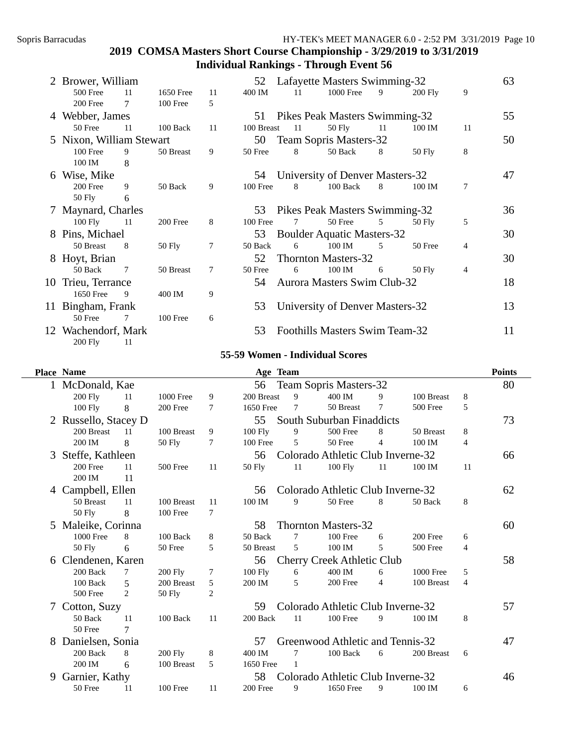| 2 Brower, William              |    |            |    | 52         |    | Lafayette Masters Swimming-32      |    |                |    | 63 |
|--------------------------------|----|------------|----|------------|----|------------------------------------|----|----------------|----|----|
| 500 Free                       | 11 | 1650 Free  | 11 | 400 IM     | 11 | 1000 Free                          | 9  | <b>200 Fly</b> | 9  |    |
| 200 Free                       | 7  | 100 Free   | 5  |            |    |                                    |    |                |    |    |
| 4 Webber, James                |    |            |    | 51         |    | Pikes Peak Masters Swimming-32     |    |                |    | 55 |
| 50 Free                        | 11 | $100$ Back | 11 | 100 Breast | 11 | 50 Fly                             | 11 | 100 IM         | 11 |    |
| 5 Nixon, William Stewart       |    |            |    | 50         |    | Team Sopris Masters-32             |    |                |    | 50 |
| $100$ Free                     | 9  | 50 Breast  | 9  | 50 Free    | 8  | 50 Back                            | 8  | $50$ Fly       | 8  |    |
| 100 IM                         | 8  |            |    |            |    |                                    |    |                |    |    |
| 6 Wise, Mike                   |    |            |    | 54         |    | University of Denver Masters-32    |    |                |    | 47 |
| $200$ Free                     | 9  | 50 Back    | 9  | 100 Free   | 8  | $100$ Back                         | 8  | 100 IM         | 7  |    |
| 50 Fly                         | 6  |            |    |            |    |                                    |    |                |    |    |
| 7 Maynard, Charles             |    |            |    | 53         |    | Pikes Peak Masters Swimming-32     |    |                |    | 36 |
| $100$ Fly                      | 11 | 200 Free   | 8  | $100$ Free | 7  | 50 Free                            | 5  | 50 Fly         | 5  |    |
| 8 Pins, Michael                |    |            |    | 53         |    | <b>Boulder Aquatic Masters-32</b>  |    |                |    | 30 |
| 50 Breast                      | 8  | 50 Fly     | 7  | 50 Back    | 6  | 100 IM                             | -5 | 50 Free        | 4  |    |
| 8 Hoyt, Brian                  |    |            |    | 52         |    | <b>Thornton Masters-32</b>         |    |                |    | 30 |
| 50 Back                        | 7  | 50 Breast  | 7  | 50 Free    | 6  | 100 IM                             | 6  | 50 Fly         | 4  |    |
| 10 Trieu, Terrance             |    |            |    | 54         |    | <b>Aurora Masters Swim Club-32</b> |    |                |    | 18 |
| 1650 Free                      | 9  | 400 IM     | 9  |            |    |                                    |    |                |    |    |
| 11 Bingham, Frank              |    |            |    | 53         |    | University of Denver Masters-32    |    |                |    | 13 |
| 50 Free                        | 7  | $100$ Free | 6  |            |    |                                    |    |                |    |    |
| 12 Wachendorf, Mark<br>200 Fly | 11 |            |    | 53         |    | Foothills Masters Swim Team-32     |    |                |    | 11 |

#### **55-59 Women - Individual Scores**

|   | <b>Place Name</b>    |                                         |                |    | Age Team       |    |                                   |    |            |    | <b>Points</b> |
|---|----------------------|-----------------------------------------|----------------|----|----------------|----|-----------------------------------|----|------------|----|---------------|
|   | McDonald, Kae        |                                         |                |    | 56             |    | Team Sopris Masters-32            |    |            |    | 80            |
|   | <b>200 Fly</b>       | 11                                      | 1000 Free      | 9  | 200 Breast     | 9  | 400 IM                            | 9  | 100 Breast | 8  |               |
|   | $100$ Fly            | 8                                       | 200 Free       | 7  | 1650 Free      | 7  | 50 Breast                         | 7  | 500 Free   | 5  |               |
|   | 2 Russello, Stacey D |                                         |                |    | 55             |    | South Suburban Finaddicts         |    |            |    | 73            |
|   | 200 Breast           | 11                                      | 100 Breast     | 9  | <b>100 Fly</b> | 9  | 500 Free                          | 8  | 50 Breast  | 8  |               |
|   | 200 IM               | 8                                       | 50 Fly         | 7  | 100 Free       | 5  | 50 Free                           | 4  | 100 IM     | 4  |               |
| 3 | Steffe, Kathleen     |                                         |                |    | 56             |    | Colorado Athletic Club Inverne-32 |    |            |    | 66            |
|   | 200 Free             | 11                                      | 500 Free       | 11 | $50$ Fly       | 11 | $100$ Fly                         | 11 | 100 IM     | 11 |               |
|   | 200 IM               | 11                                      |                |    |                |    |                                   |    |            |    |               |
| 4 | Campbell, Ellen      | Colorado Athletic Club Inverne-32<br>56 |                |    |                |    |                                   |    |            |    | 62            |
|   | 50 Breast            | 11                                      | 100 Breast     | 11 | 100 IM         | 9  | 50 Free                           | 8  | 50 Back    | 8  |               |
|   | 50 Fly               | 8                                       | 100 Free       | 7  |                |    |                                   |    |            |    |               |
|   | 5 Maleike, Corinna   |                                         |                |    | 58             |    | <b>Thornton Masters-32</b>        |    |            |    | 60            |
|   | 1000 Free            | 8                                       | 100 Back       | 8  | 50 Back        | 7  | 100 Free                          | 6  | 200 Free   | 6  |               |
|   | 50 Fly               | 6                                       | 50 Free        | 5  | 50 Breast      | 5  | 100 IM                            | 5  | 500 Free   | 4  |               |
| 6 | Clendenen, Karen     |                                         |                |    | 56             |    | <b>Cherry Creek Athletic Club</b> |    |            |    | 58            |
|   | 200 Back             | 7                                       | $200$ Fly      | 7  | 100 Fly        | 6  | 400 IM                            | 6  | 1000 Free  | 5  |               |
|   | 100 Back             | 5                                       | 200 Breast     | 5  | 200 IM         | 5  | 200 Free                          | 4  | 100 Breast | 4  |               |
|   | 500 Free             | 2                                       | 50 Fly         | 2  |                |    |                                   |    |            |    |               |
|   | Cotton, Suzy         |                                         |                |    | 59             |    | Colorado Athletic Club Inverne-32 |    |            |    | 57            |
|   | 50 Back              | 11                                      | 100 Back       | 11 | 200 Back       | 11 | $100$ Free                        | 9  | 100 IM     | 8  |               |
|   | 50 Free              | 7                                       |                |    |                |    |                                   |    |            |    |               |
| 8 | Danielsen, Sonia     |                                         |                |    | 57             |    | Greenwood Athletic and Tennis-32  |    |            |    | 47            |
|   | 200 Back             | 8                                       | <b>200 Fly</b> | 8  | 400 IM         | 7  | 100 Back                          | 6  | 200 Breast | 6  |               |
|   | 200 IM               | 6                                       | 100 Breast     | 5  | 1650 Free      | 1  |                                   |    |            |    |               |
| 9 | Garnier, Kathy       |                                         |                |    | 58             |    | Colorado Athletic Club Inverne-32 |    |            |    | 46            |
|   | 50 Free              | 11                                      | $100$ Free     | 11 | 200 Free       | 9  | 1650 Free                         | 9  | 100 IM     | 6  |               |
|   |                      |                                         |                |    |                |    |                                   |    |            |    |               |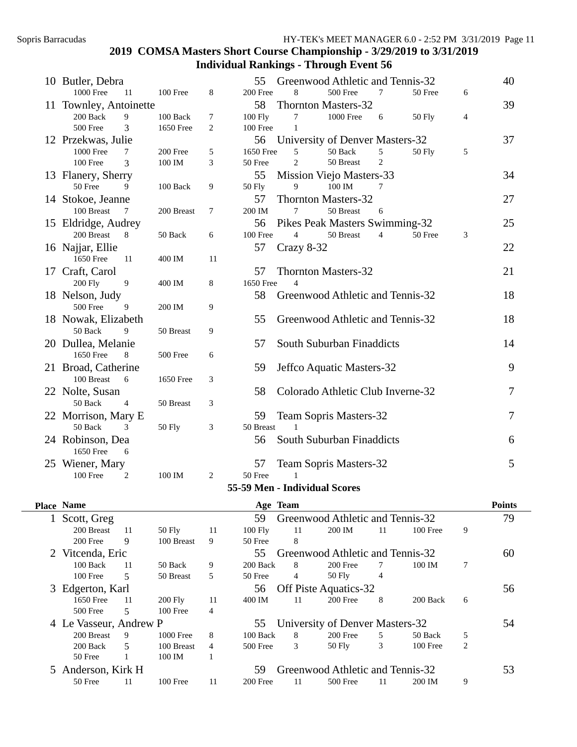| 10 Butler, Debra       |                |                   |                | 55        |                               | Greenwood Athletic and Tennis-32  |                |               |                | 40             |
|------------------------|----------------|-------------------|----------------|-----------|-------------------------------|-----------------------------------|----------------|---------------|----------------|----------------|
| <b>1000 Free</b>       | 11             | 100 Free          | 8              | 200 Free  | 8                             | 500 Free                          | 7              | 50 Free       | 6              |                |
| 11 Townley, Antoinette |                |                   |                | 58        |                               | <b>Thornton Masters-32</b>        |                |               |                | 39             |
| $200\text{ Back}$      | 9              | 100 Back          | $\tau$         | 100 Fly   | 7                             | <b>1000 Free</b>                  | 6              | <b>50 Fly</b> | $\overline{4}$ |                |
| 500 Free               | $\overline{3}$ | 1650 Free         | $\overline{c}$ | 100 Free  | $\mathbf{1}$                  |                                   |                |               |                |                |
| 12 Przekwas, Julie     |                |                   |                | 56        |                               | University of Denver Masters-32   |                |               |                | 37             |
| 1000 Free              | 7              | 200 Free          | 5              | 1650 Free | 5                             | 50 Back                           | 5              | 50 Fly        | 5              |                |
| 100 Free               | $\overline{3}$ | 100 IM            | 3              | 50 Free   | $\overline{2}$                | 50 Breast                         | $\overline{c}$ |               |                |                |
| 13 Flanery, Sherry     |                |                   |                | 55        |                               | Mission Viejo Masters-33          |                |               |                | 34             |
| 50 Free                | 9              | $100\text{ Back}$ | 9              | 50 Fly    | 9                             | 100 IM                            | 7              |               |                |                |
| 14 Stokoe, Jeanne      |                |                   |                | 57        |                               | <b>Thornton Masters-32</b>        |                |               |                | 27             |
| 100 Breast             | 7              | 200 Breast        | $\tau$         | 200 IM    | 7                             | 50 Breast                         | 6              |               |                |                |
| 15 Eldridge, Audrey    |                |                   |                | 56        |                               | Pikes Peak Masters Swimming-32    |                |               |                | 25             |
| 200 Breast             | 8              | 50 Back           | 6              | 100 Free  | $\overline{4}$                | 50 Breast                         | $\overline{4}$ | 50 Free       | 3              |                |
| 16 Najjar, Ellie       |                |                   |                | 57        | Crazy 8-32                    |                                   |                |               |                | 22             |
| 1650 Free              | 11             | 400 IM            | 11             |           |                               |                                   |                |               |                |                |
| 17 Craft, Carol        |                |                   |                | 57        |                               | <b>Thornton Masters-32</b>        |                |               |                | 21             |
| <b>200 Fly</b>         | 9              | 400 IM            | 8              | 1650 Free | $\overline{\mathcal{A}}$      |                                   |                |               |                |                |
| 18 Nelson, Judy        |                |                   |                | 58        |                               | Greenwood Athletic and Tennis-32  |                |               |                | 18             |
| 500 Free               | 9              | 200 IM            | 9              |           |                               |                                   |                |               |                |                |
| 18 Nowak, Elizabeth    |                |                   |                | 55        |                               | Greenwood Athletic and Tennis-32  |                |               |                | 18             |
| 50 Back                | $\mathbf Q$    | 50 Breast         | 9              |           |                               |                                   |                |               |                |                |
| 20 Dullea, Melanie     |                |                   |                | 57        |                               | South Suburban Finaddicts         |                |               |                | 14             |
| 1650 Free              | 8              | 500 Free          | 6              |           |                               |                                   |                |               |                |                |
| 21 Broad, Catherine    |                |                   |                | 59        |                               | Jeffco Aquatic Masters-32         |                |               |                | 9              |
| 100 Breast             | 6              | 1650 Free         | 3              |           |                               |                                   |                |               |                |                |
| 22 Nolte, Susan        |                |                   |                | 58        |                               | Colorado Athletic Club Inverne-32 |                |               |                | 7              |
| 50 Back                | $\overline{4}$ | 50 Breast         | 3              |           |                               |                                   |                |               |                |                |
| 22 Morrison, Mary E    |                |                   |                | 59        |                               | Team Sopris Masters-32            |                |               |                | $\overline{7}$ |
| 50 Back                | 3              | <b>50 Fly</b>     | 3              | 50 Breast | 1                             |                                   |                |               |                |                |
| 24 Robinson, Dea       |                |                   |                | 56        |                               | South Suburban Finaddicts         |                |               |                | 6              |
| 1650 Free              | 6              |                   |                |           |                               |                                   |                |               |                |                |
| 25 Wiener, Mary        |                |                   |                | 57        |                               | <b>Team Sopris Masters-32</b>     |                |               |                | 5              |
| 100 Free               | 2              | 100 IM            | 2              | 50 Free   |                               |                                   |                |               |                |                |
|                        |                |                   |                |           | 55-59 Men - Individual Scores |                                   |                |               |                |                |
|                        |                |                   |                |           |                               |                                   |                |               |                |                |

| <b>Place Name</b>      |     |            |    | Age Team  |                |                                  |    |            |                | <b>Points</b> |
|------------------------|-----|------------|----|-----------|----------------|----------------------------------|----|------------|----------------|---------------|
| Scott, Greg            |     |            |    | 59        |                | Greenwood Athletic and Tennis-32 |    |            |                | 79            |
| 200 Breast             | -11 | 50 Fly     | 11 | $100$ Fly | 11             | 200 IM                           | 11 | $100$ Free | 9              |               |
| 200 Free               | 9   | 100 Breast | 9  | 50 Free   | 8              |                                  |    |            |                |               |
| 2 Vitcenda, Eric       |     |            |    | 55        |                | Greenwood Athletic and Tennis-32 |    |            |                | 60            |
| 100 Back               | 11  | 50 Back    | 9  | 200 Back  | 8              | 200 Free                         |    | 100 IM     |                |               |
| 100 Free               | 5   | 50 Breast  | 5  | 50 Free   | $\overline{4}$ | $50$ Fly                         | 4  |            |                |               |
| 3 Edgerton, Karl       |     |            |    | 56        |                | Off Piste Aquatics-32            |    |            |                | 56            |
| 1650 Free              | 11  | $200$ Fly  | 11 | 400 IM    | 11             | 200 Free                         | 8  | 200 Back   | 6              |               |
| 500 Free               | 5.  | $100$ Free | 4  |           |                |                                  |    |            |                |               |
| 4 Le Vasseur, Andrew P |     |            |    | 55        |                | University of Denver Masters-32  |    |            |                | 54            |
| 200 Breast             | 9   | 1000 Free  | 8  | 100 Back  | 8              | $200$ Free                       | 5. | 50 Back    | 5              |               |
| 200 Back               | 5.  | 100 Breast | 4  | 500 Free  | 3              | 50 Fly                           | 3  | 100 Free   | $\overline{2}$ |               |
| 50 Free                |     | 100 IM     |    |           |                |                                  |    |            |                |               |
| 5 Anderson, Kirk H     |     |            |    | 59        |                | Greenwood Athletic and Tennis-32 |    |            |                | 53            |
| 50 Free                | 11  | 100 Free   | 11 | 200 Free  | 11             | 500 Free                         | 11 | 200 IM     | 9              |               |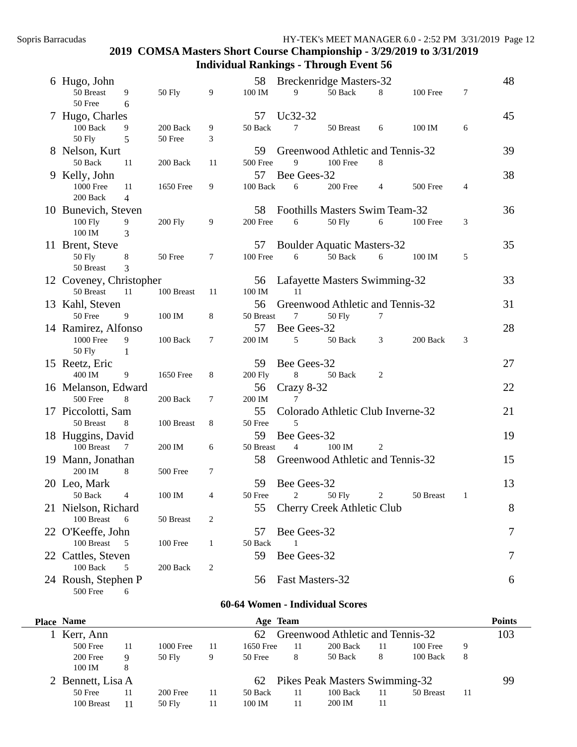| 6 Hugo, John                    |                      |                |    | 58             |                 | <b>Breckenridge Masters-32</b>    |   |           |   | 48 |
|---------------------------------|----------------------|----------------|----|----------------|-----------------|-----------------------------------|---|-----------|---|----|
| 50 Breast                       | 9                    | <b>50 Fly</b>  | 9  | 100 IM         | 9               | 50 Back                           | 8 | 100 Free  | 7 |    |
| 50 Free                         | 6                    |                |    |                |                 |                                   |   |           |   |    |
| 7 Hugo, Charles                 |                      |                |    | 57             | Uc32-32         |                                   |   |           |   | 45 |
| 100 Back                        | 9                    | 200 Back       | 9  | 50 Back        | $\tau$          | 50 Breast                         | 6 | 100 IM    | 6 |    |
| <b>50 Fly</b>                   | 5                    | 50 Free        | 3  |                |                 |                                   |   |           |   |    |
| 8 Nelson, Kurt                  |                      |                |    | 59             |                 | Greenwood Athletic and Tennis-32  |   |           |   | 39 |
| 50 Back                         | 11                   | 200 Back       | 11 | 500 Free       | 9               | 100 Free                          | 8 |           |   |    |
| 9 Kelly, John                   |                      |                |    | 57             | Bee Gees-32     |                                   |   |           |   | 38 |
| 1000 Free<br>200 Back           | 11<br>$\overline{4}$ | 1650 Free      | 9  | 100 Back       | 6               | 200 Free                          | 4 | 500 Free  | 4 |    |
| 10 Bunevich, Steven             |                      |                |    | 58             |                 | Foothills Masters Swim Team-32    |   |           |   | 36 |
| 100 Fly                         | 9                    | <b>200 Fly</b> | 9  | 200 Free       | 6               | 50 Fly                            | 6 | 100 Free  | 3 |    |
| 100 IM                          | 3                    |                |    |                |                 |                                   |   |           |   |    |
| 11 Brent, Steve                 |                      |                |    | 57             |                 | <b>Boulder Aquatic Masters-32</b> |   |           |   | 35 |
| 50 Fly                          | 8                    | 50 Free        | 7  | 100 Free       | 6               | 50 Back                           | 6 | 100 IM    | 5 |    |
| 50 Breast                       | 3                    |                |    |                |                 |                                   |   |           |   |    |
| 12 Coveney, Christopher         |                      |                |    | 56             |                 | Lafayette Masters Swimming-32     |   |           |   | 33 |
| 50 Breast                       | 11                   | 100 Breast     | 11 | 100 IM         | 11              |                                   |   |           |   |    |
| 13 Kahl, Steven                 |                      |                |    | 56             |                 | Greenwood Athletic and Tennis-32  |   |           |   | 31 |
| 50 Free                         | 9                    | 100 IM         | 8  | 50 Breast      | 7               | 50 Fly                            | 7 |           |   |    |
| 14 Ramirez, Alfonso             |                      |                |    | 57             | Bee Gees-32     |                                   |   |           |   | 28 |
| <b>1000 Free</b>                | 9                    | 100 Back       | 7  | 200 IM         | 5               | 50 Back                           | 3 | 200 Back  | 3 |    |
| <b>50 Fly</b>                   | 1                    |                |    |                |                 |                                   |   |           |   |    |
| 15 Reetz, Eric                  |                      |                |    | 59             | Bee Gees-32     |                                   |   |           |   | 27 |
| 400 IM                          | 9                    | 1650 Free      | 8  | <b>200 Fly</b> | 8               | 50 Back                           | 2 |           |   |    |
| 16 Melanson, Edward             |                      |                |    | 56             | Crazy 8-32      |                                   |   |           |   | 22 |
| 500 Free                        | 8                    | 200 Back       | 7  | 200 IM         | 7               |                                   |   |           |   |    |
| 17 Piccolotti, Sam<br>50 Breast | 8                    | 100 Breast     | 8  | 55<br>50 Free  | 5               | Colorado Athletic Club Inverne-32 |   |           |   | 21 |
|                                 |                      |                |    | 59             | Bee Gees-32     |                                   |   |           |   | 19 |
| 18 Huggins, David<br>100 Breast | 7                    | 200 IM         | 6  | 50 Breast      | $\overline{4}$  | 100 IM                            | 2 |           |   |    |
| 19 Mann, Jonathan               |                      |                |    | 58             |                 | Greenwood Athletic and Tennis-32  |   |           |   | 15 |
| 200 IM                          | 8                    | 500 Free       | 7  |                |                 |                                   |   |           |   |    |
| 20 Leo, Mark                    |                      |                |    | 59             | Bee Gees-32     |                                   |   |           |   | 13 |
| 50 Back                         | 4                    | 100 IM         | 4  | 50 Free        | 2               | 50 Fly                            | 2 | 50 Breast |   |    |
| 21 Nielson, Richard             |                      |                |    | 55             |                 | <b>Cherry Creek Athletic Club</b> |   |           |   | 8  |
| 100 Breast                      | 6                    | 50 Breast      | 2  |                |                 |                                   |   |           |   |    |
| 22 O'Keeffe, John               |                      |                |    | 57             | Bee Gees-32     |                                   |   |           |   | 7  |
| 100 Breast                      | 5                    | 100 Free       | 1  | 50 Back        | 1               |                                   |   |           |   |    |
| 22 Cattles, Steven              |                      |                |    | 59             | Bee Gees-32     |                                   |   |           |   | 7  |
| 100 Back                        | 5                    | 200 Back       | 2  |                |                 |                                   |   |           |   |    |
| 24 Roush, Stephen P             |                      |                |    | 56             | Fast Masters-32 |                                   |   |           |   | 6  |
| 500 Free                        | 6                    |                |    |                |                 |                                   |   |           |   |    |

### **60-64 Women - Individual Scores**

| <b>Place Name</b> |    |                                        |    | Age Team  |    |                                |     |            |    | <b>Points</b> |  |  |  |  |
|-------------------|----|----------------------------------------|----|-----------|----|--------------------------------|-----|------------|----|---------------|--|--|--|--|
| Kerr, Ann         |    | Greenwood Athletic and Tennis-32<br>62 |    |           |    |                                |     |            |    |               |  |  |  |  |
| 500 Free          | 11 | 1000 Free                              | 11 | 1650 Free | 11 | 200 Back                       | 11  | $100$ Free | 9  |               |  |  |  |  |
| 200 Free          | 9  | 50 Fly                                 | 9  | 50 Free   | 8  | 50 Back                        | 8   | $100$ Back | 8  |               |  |  |  |  |
| 100 IM            | 8  |                                        |    |           |    |                                |     |            |    |               |  |  |  |  |
| 2 Bennett, Lisa A |    |                                        |    | 62        |    | Pikes Peak Masters Swimming-32 |     |            |    | 99            |  |  |  |  |
| 50 Free           | 11 | 200 Free                               | 11 | 50 Back   | 11 | 100 Back                       | -11 | 50 Breast  | 11 |               |  |  |  |  |
| 100 Breast        | 11 | 50 Fly                                 | 11 | 100 IM    |    | 200 IM                         | 11  |            |    |               |  |  |  |  |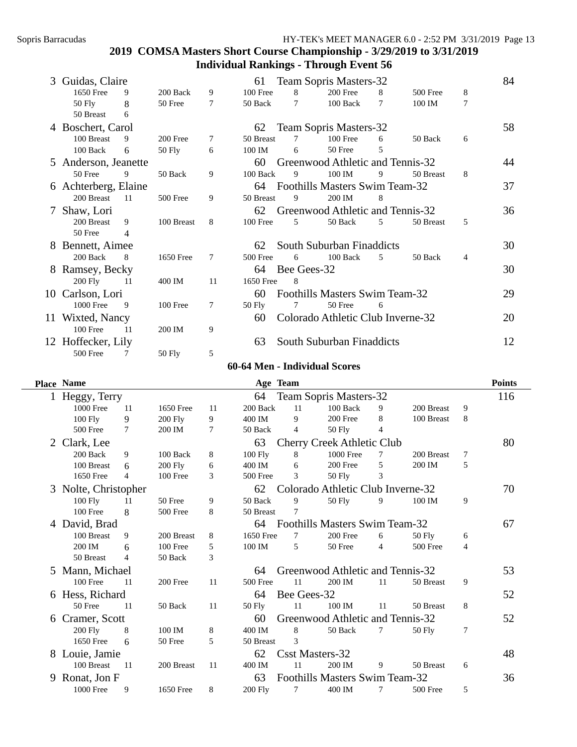| 3             | Guidas, Claire       |    |            |    | 61              |             | <b>Team Sopris Masters-32</b>     |    |           |   | 84 |
|---------------|----------------------|----|------------|----|-----------------|-------------|-----------------------------------|----|-----------|---|----|
|               | 1650 Free            | 9  | 200 Back   | 9  | 100 Free        | 8           | $200$ Free                        | 8  | 500 Free  | 8 |    |
|               | 50 Fly               | 8  | 50 Free    | 7  | 50 Back         | 7           | 100 Back                          | 7  | 100 IM    | 7 |    |
|               | 50 Breast            | 6  |            |    |                 |             |                                   |    |           |   |    |
|               | 4 Boschert, Carol    |    |            |    | 62              |             | Team Sopris Masters-32            |    |           |   | 58 |
|               | 100 Breast           | 9  | 200 Free   | 7  | 50 Breast       | 7           | $100$ Free                        | 6  | 50 Back   | 6 |    |
|               | $100$ Back           | 6  | $50$ Fly   | 6  | 100 IM          | 6           | 50 Free                           | 5  |           |   |    |
|               | 5 Anderson, Jeanette |    |            |    | 60              |             | Greenwood Athletic and Tennis-32  |    |           |   | 44 |
|               | 50 Free              | 9  | 50 Back    | 9  | 100 Back        | 9           | 100 IM                            | 9  | 50 Breast | 8 |    |
|               | 6 Achterberg, Elaine |    |            |    | 64              |             | Foothills Masters Swim Team-32    |    |           |   | 37 |
|               | 200 Breast           | 11 | $500$ Free | 9  | 50 Breast       | 9           | 200 IM                            | 8  |           |   |    |
| $\mathcal{L}$ | Shaw, Lori           |    |            |    | 62              |             | Greenwood Athletic and Tennis-32  |    |           |   | 36 |
|               | 200 Breast           | 9  | 100 Breast | 8  | $100$ Free      | 5           | 50 Back                           | 5  | 50 Breast | 5 |    |
|               | 50 Free              | 4  |            |    |                 |             |                                   |    |           |   |    |
|               | 8 Bennett, Aimee     |    |            |    | 62              |             | South Suburban Finaddicts         |    |           |   | 30 |
|               | 200 Back             | 8  | 1650 Free  | 7  | <b>500 Free</b> | 6           | $100$ Back                        | .5 | 50 Back   | 4 |    |
|               | 8 Ramsey, Becky      |    |            |    | 64              | Bee Gees-32 |                                   |    |           |   | 30 |
|               | 200 Fly              | 11 | 400 IM     | 11 | 1650 Free       | 8           |                                   |    |           |   |    |
|               | 10 Carlson, Lori     |    |            |    | 60              |             | Foothills Masters Swim Team-32    |    |           |   | 29 |
|               | 1000 Free            | 9  | $100$ Free | 7  | $50$ Fly        | 7           | 50 Free                           | 6  |           |   |    |
|               | 11 Wixted, Nancy     |    |            |    | 60              |             | Colorado Athletic Club Inverne-32 |    |           |   | 20 |
|               | $100$ Free           | 11 | 200 IM     | 9  |                 |             |                                   |    |           |   |    |
|               | 12 Hoffecker, Lily   |    |            |    | 63              |             | South Suburban Finaddicts         |    |           |   | 12 |
|               | 500 Free             |    | 50 Fly     | 5  |                 |             |                                   |    |           |   |    |

#### **60-64 Men - Individual Scores**

|  | <b>Place Name</b> |
|--|-------------------|
|--|-------------------|

|   | <b>Place Name</b>    |     |                |    | Age Team       |             |                                   |    |            |   | <b>Points</b> |
|---|----------------------|-----|----------------|----|----------------|-------------|-----------------------------------|----|------------|---|---------------|
|   | Heggy, Terry         |     |                |    | 64             |             | <b>Team Sopris Masters-32</b>     |    |            |   | 116           |
|   | 1000 Free            | 11  | 1650 Free      | 11 | 200 Back       | 11          | $100$ Back                        | 9  | 200 Breast | 9 |               |
|   | 100 Fly              | 9   | <b>200 Fly</b> | 9  | 400 IM         | 9           | 200 Free                          | 8  | 100 Breast | 8 |               |
|   | 500 Free             | 7   | 200 IM         | 7  | 50 Back        | 4           | $50$ Fly                          | 4  |            |   |               |
| 2 | Clark, Lee           |     |                |    | 63             |             | Cherry Creek Athletic Club        |    |            |   | 80            |
|   | 200 Back             | 9   | 100 Back       | 8  | <b>100 Fly</b> | 8           | 1000 Free                         |    | 200 Breast | 7 |               |
|   | 100 Breast           | 6   | <b>200 Fly</b> | 6  | 400 IM         | 6           | 200 Free                          | 5  | 200 IM     | 5 |               |
|   | 1650 Free            | 4   | 100 Free       | 3  | 500 Free       | 3           | 50 Fly                            | 3  |            |   |               |
|   | 3 Nolte, Christopher |     |                |    | 62             |             | Colorado Athletic Club Inverne-32 |    |            |   | 70            |
|   | $100$ Fly            | 11  | 50 Free        | 9  | 50 Back        | 9           | $50$ Fly                          | 9  | 100 IM     | 9 |               |
|   | 100 Free             | 8   | 500 Free       | 8  | 50 Breast      |             |                                   |    |            |   |               |
| 4 | David, Brad          |     |                |    | 64             |             | Foothills Masters Swim Team-32    |    |            |   | 67            |
|   | 100 Breast           | 9   | 200 Breast     | 8  | 1650 Free      | 7           | 200 Free                          | 6  | 50 Fly     | 6 |               |
|   | 200 IM               | 6   | 100 Free       | 5  | 100 IM         | 5           | 50 Free                           | 4  | 500 Free   | 4 |               |
|   | 50 Breast            | 4   | 50 Back        | 3  |                |             |                                   |    |            |   |               |
|   | 5 Mann, Michael      |     |                |    | 64             |             | Greenwood Athletic and Tennis-32  |    |            |   | 53            |
|   | 100 Free             | -11 | 200 Free       | 11 | 500 Free       | 11          | 200 IM                            | 11 | 50 Breast  | 9 |               |
| 6 | Hess, Richard        |     |                |    | 64             | Bee Gees-32 |                                   |    |            |   | 52            |
|   | 50 Free              | -11 | 50 Back        | 11 | 50 Fly         | 11          | 100 IM                            | 11 | 50 Breast  | 8 |               |
| 6 | Cramer, Scott        |     |                |    | 60             |             | Greenwood Athletic and Tennis-32  |    |            |   | 52            |
|   | <b>200 Fly</b>       | 8   | 100 IM         | 8  | 400 IM         | 8           | 50 Back                           | 7  | 50 Fly     | 7 |               |
|   | 1650 Free            | 6   | 50 Free        | 5  | 50 Breast      | 3           |                                   |    |            |   |               |
| 8 | Louie, Jamie         |     |                |    | 62             |             | <b>Csst Masters-32</b>            |    |            |   | 48            |
|   | 100 Breast           | 11  | 200 Breast     | 11 | 400 IM         | 11          | 200 IM                            | 9  | 50 Breast  | 6 |               |
| 9 | Ronat, Jon F         |     |                |    | 63             |             | Foothills Masters Swim Team-32    |    |            |   | 36            |
|   | 1000 Free            | 9   | 1650 Free      | 8  | <b>200 Fly</b> | 7           | 400 IM                            | 7  | 500 Free   | 5 |               |
|   |                      |     |                |    |                |             |                                   |    |            |   |               |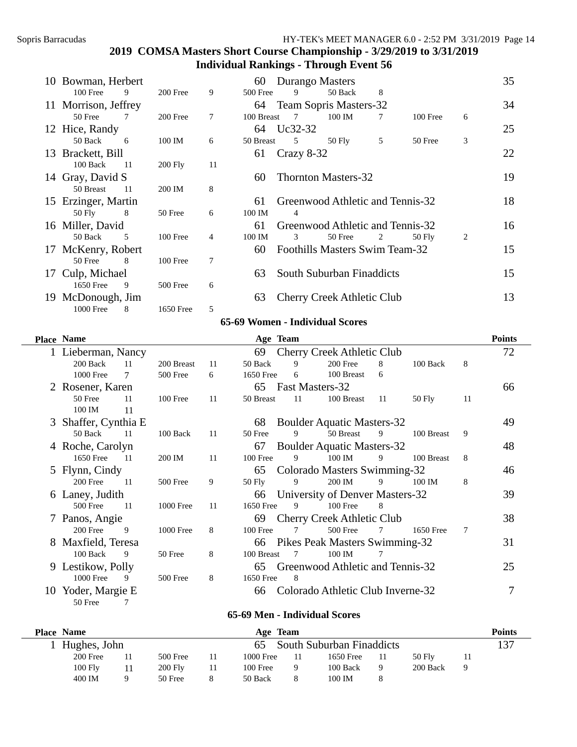| 10       | Bowman, Herbert      |     |                |    | 60         | Durango Masters |                                   |   |          |   | 35 |
|----------|----------------------|-----|----------------|----|------------|-----------------|-----------------------------------|---|----------|---|----|
|          | $100$ Free           | 9   | 200 Free       | 9  | 500 Free   | 9               | 50 Back                           | 8 |          |   |    |
|          | 11 Morrison, Jeffrey |     |                |    | 64         |                 | Team Sopris Masters-32            |   |          |   | 34 |
|          | 50 Free              | 7   | 200 Free       | 7  | 100 Breast | 7               | 100 IM                            |   | 100 Free | 6 |    |
|          | 12 Hice, Randy       |     |                |    | 64         | Uc32-32         |                                   |   |          |   | 25 |
|          | 50 Back              | - 6 | 100 IM         | 6  | 50 Breast  | 5               | 50 Fly                            | 5 | 50 Free  | 3 |    |
|          | 13 Brackett, Bill    |     |                |    | 61         | Crazy 8-32      |                                   |   |          |   | 22 |
|          | 100 Back             | -11 | <b>200 Fly</b> | 11 |            |                 |                                   |   |          |   |    |
|          | 14 Gray, David S     |     |                |    | 60         |                 | <b>Thornton Masters-32</b>        |   |          |   | 19 |
|          | 50 Breast            | -11 | 200 IM         | 8  |            |                 |                                   |   |          |   |    |
|          | 15 Erzinger, Martin  |     |                |    | 61         |                 | Greenwood Athletic and Tennis-32  |   |          |   | 18 |
|          | 50 Fly               | - 8 | 50 Free        | 6  | 100 IM     | 4               |                                   |   |          |   |    |
|          | 16 Miller, David     |     |                |    | 61         |                 | Greenwood Athletic and Tennis-32  |   |          |   | 16 |
|          | 50 Back              | .5  | 100 Free       | 4  | 100 IM     | 3               | 50 Free                           | 2 | 50 Fly   | 2 |    |
|          | 17 McKenry, Robert   |     |                |    | 60         |                 | Foothills Masters Swim Team-32    |   |          |   | 15 |
|          | 50 Free              | 8   | 100 Free       | 7  |            |                 |                                   |   |          |   |    |
| $\Gamma$ | Culp, Michael        |     |                |    | 63         |                 | South Suburban Finaddicts         |   |          |   | 15 |
|          | 1650 Free            | 9   | 500 Free       | 6  |            |                 |                                   |   |          |   |    |
| 19.      | McDonough, Jim       |     |                |    | 63         |                 | <b>Cherry Creek Athletic Club</b> |   |          |   | 13 |
|          | 1000 Free            | 8   | 1650 Free      | 5  |            |                 |                                   |   |          |   |    |

#### **65-69 Women - Individual Scores**

|    | Place Name         |       |            |    | Age Team   |    |                                   |    |            |    | <b>Points</b> |
|----|--------------------|-------|------------|----|------------|----|-----------------------------------|----|------------|----|---------------|
|    | Lieberman, Nancy   |       |            |    | 69         |    | Cherry Creek Athletic Club        |    |            |    | 72            |
|    | 200 Back           | 11    | 200 Breast | 11 | 50 Back    | 9  | 200 Free                          | 8  | 100 Back   | 8  |               |
|    | 1000 Free          |       | 500 Free   | 6  | 1650 Free  | 6  | 100 Breast                        | 6  |            |    |               |
|    | 2 Rosener, Karen   |       |            |    | 65         |    | Fast Masters-32                   |    |            |    | 66            |
|    | 50 Free            | 11    | 100 Free   | 11 | 50 Breast  | 11 | 100 Breast                        | 11 | 50 Fly     | 11 |               |
|    | 100 IM             | -11   |            |    |            |    |                                   |    |            |    |               |
| 3  | Shaffer, Cynthia E |       |            |    | 68         |    | <b>Boulder Aquatic Masters-32</b> |    |            |    | 49            |
|    | 50 Back            | -11   | 100 Back   | 11 | 50 Free    | 9  | 50 Breast                         | 9  | 100 Breast | 9  |               |
|    | 4 Roche, Carolyn   |       |            |    | 67         |    | <b>Boulder Aquatic Masters-32</b> |    |            |    | 48            |
|    | 1650 Free          | $-11$ | 200 IM     | 11 | $100$ Free | 9  | 100 IM                            | 9  | 100 Breast | 8  |               |
|    | 5 Flynn, Cindy     |       |            |    | 65         |    | Colorado Masters Swimming-32      |    |            |    | 46            |
|    | 200 Free           | -11   | 500 Free   | 9  | $50$ Fly   | 9  | 200 IM                            | 9  | 100 IM     | 8  |               |
|    | 6 Laney, Judith    |       |            |    | 66         |    | University of Denver Masters-32   |    |            |    | 39            |
|    | <b>500 Free</b>    | 11    | 1000 Free  | 11 | 1650 Free  | 9  | $100$ Free                        | 8  |            |    |               |
|    | 7 Panos, Angie     |       |            |    | 69         |    | <b>Cherry Creek Athletic Club</b> |    |            |    | 38            |
|    | 200 Free           | 9     | 1000 Free  | 8  | $100$ Free | 7  | 500 Free                          | 7  | 1650 Free  | 7  |               |
| 8  | Maxfield, Teresa   |       |            |    | 66         |    | Pikes Peak Masters Swimming-32    |    |            |    | 31            |
|    | $100$ Back         | 9     | 50 Free    | 8  | 100 Breast | 7  | 100 IM                            | 7  |            |    |               |
|    | 9 Lestikow, Polly  |       |            |    | 65         |    | Greenwood Athletic and Tennis-32  |    |            |    | 25            |
|    | 1000 Free          | 9     | 500 Free   | 8  | 1650 Free  | 8  |                                   |    |            |    |               |
| 10 | Yoder, Margie E    |       |            |    | 66         |    | Colorado Athletic Club Inverne-32 |    |            |    |               |
|    | 50 Free            |       |            |    |            |    |                                   |    |            |    |               |

#### **65-69 Men - Individual Scores**

| <b>Place Name</b> |                |    | Age Team  |     |                           |   |          | <b>Points</b> |
|-------------------|----------------|----|-----------|-----|---------------------------|---|----------|---------------|
| Hughes, John      |                |    |           |     | South Suburban Finaddicts |   |          | 137           |
| 200 Free          | $500$ Free     | 11 | 1000 Free | 11. | 1650 Free                 |   | 50 Fly   |               |
| 100 Fly           | <b>200 Fly</b> | 11 | 100 Free  | 9   | 100 Back                  | Q | 200 Back |               |
| 400 IM            | 50 Free        |    | 50 Back   | 8   | 100 IM                    |   |          |               |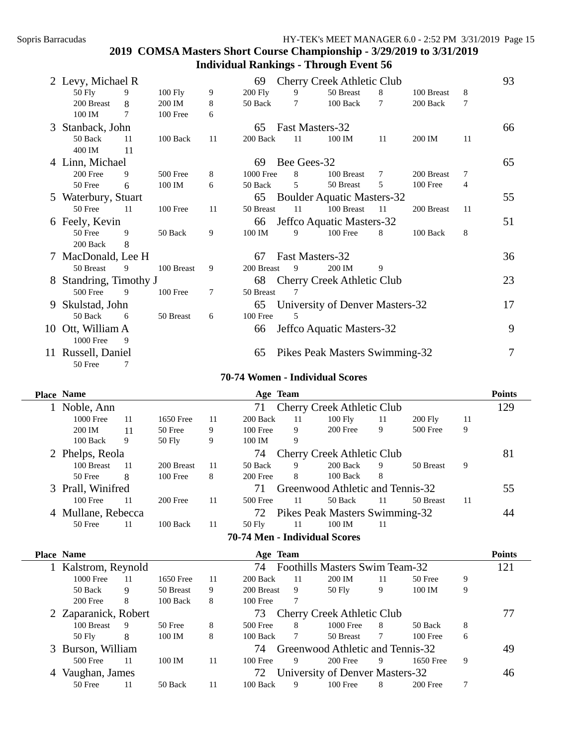| 2 Levy, Michael R      |     |            |    | 69         |                 | <b>Cherry Creek Athletic Club</b> |    |            |    | 93 |
|------------------------|-----|------------|----|------------|-----------------|-----------------------------------|----|------------|----|----|
| $50$ Fly               | 9   | 100 Fly    | 9  | 200 Fly    | 9               | 50 Breast                         | 8  | 100 Breast | 8  |    |
| 200 Breast             | 8   | 200 IM     | 8  | 50 Back    | 7               | 100 Back                          | 7  | 200 Back   | 7  |    |
| 100 IM                 | 7   | 100 Free   | 6  |            |                 |                                   |    |            |    |    |
| 3 Stanback, John       |     |            |    | 65         | Fast Masters-32 |                                   |    |            |    | 66 |
| 50 Back                | 11  | 100 Back   | 11 | 200 Back   | 11              | 100 IM                            | 11 | 200 IM     | 11 |    |
| 400 IM                 | 11  |            |    |            |                 |                                   |    |            |    |    |
| 4 Linn, Michael        |     |            |    | 69         | Bee Gees-32     |                                   |    |            |    | 65 |
| 200 Free               | 9   | 500 Free   | 8  | 1000 Free  | 8               | 100 Breast                        | 7  | 200 Breast | 7  |    |
| 50 Free                | 6   | 100 IM     | 6  | 50 Back    | 5               | 50 Breast                         | 5  | 100 Free   | 4  |    |
| 5 Waterbury, Stuart    |     |            |    | 65         |                 | <b>Boulder Aquatic Masters-32</b> |    |            |    | 55 |
| 50 Free                | -11 | 100 Free   | 11 | 50 Breast  | 11              | 100 Breast                        | 11 | 200 Breast | 11 |    |
| 6 Feely, Kevin         |     |            |    | 66         |                 | Jeffco Aquatic Masters-32         |    |            |    | 51 |
| 50 Free                | 9   | 50 Back    | 9  | 100 IM     | 9               | $100$ Free                        | 8  | 100 Back   | 8  |    |
| 200 Back               | 8   |            |    |            |                 |                                   |    |            |    |    |
| 7 MacDonald, Lee H     |     |            |    | 67         | Fast Masters-32 |                                   |    |            |    | 36 |
| 50 Breast              | 9   | 100 Breast | 9  | 200 Breast | 9               | 200 IM                            | 9  |            |    |    |
| 8 Standring, Timothy J |     |            |    | 68         |                 | Cherry Creek Athletic Club        |    |            |    | 23 |
| 500 Free               | 9   | 100 Free   | 7  | 50 Breast  | 7               |                                   |    |            |    |    |
| 9 Skulstad, John       |     |            |    | 65         |                 | University of Denver Masters-32   |    |            |    | 17 |
| 50 Back                | 6   | 50 Breast  | 6  | $100$ Free | 5               |                                   |    |            |    |    |
| 10 Ott, William A      |     |            |    | 66         |                 | Jeffco Aquatic Masters-32         |    |            |    | 9  |
| 1000 Free              | 9   |            |    |            |                 |                                   |    |            |    |    |
| 11 Russell, Daniel     |     |            |    | 65         |                 | Pikes Peak Masters Swimming-32    |    |            |    | 7  |
| 50 Free                | 7   |            |    |            |                 |                                   |    |            |    |    |

#### **70-74 Women - Individual Scores**

| <b>Place Name</b>  |    |            |    | Age Team                      |    |                                   |    |           |    | <b>Points</b> |
|--------------------|----|------------|----|-------------------------------|----|-----------------------------------|----|-----------|----|---------------|
| Noble, Ann         |    |            |    | 71                            |    | <b>Cherry Creek Athletic Club</b> |    |           |    | 129           |
| 1000 Free          | 11 | 1650 Free  | 11 | 200 Back                      | 11 | $100$ Fly                         | 11 | $200$ Fly | 11 |               |
| 200 IM             | 11 | 50 Free    | 9  | $100$ Free                    | 9  | 200 Free                          | 9  | 500 Free  | 9  |               |
| $100$ Back         | 9  | $50$ Fly   | 9  | 100 IM                        | 9  |                                   |    |           |    |               |
| 2 Phelps, Reola    |    |            |    | 74                            |    | <b>Cherry Creek Athletic Club</b> |    |           |    | 81            |
| 100 Breast         | 11 | 200 Breast | 11 | 50 Back                       | 9  | 200 Back                          | 9  | 50 Breast | 9  |               |
| 50 Free            | 8  | $100$ Free | 8  | 200 Free                      | 8  | $100$ Back                        | 8  |           |    |               |
| 3 Prall, Winifred  |    |            |    | 71                            |    | Greenwood Athletic and Tennis-32  |    |           |    | 55            |
| $100$ Free         | 11 | 200 Free   | 11 | 500 Free                      | 11 | 50 Back                           | 11 | 50 Breast | 11 |               |
| 4 Mullane, Rebecca |    |            |    | 72                            |    | Pikes Peak Masters Swimming-32    |    |           |    | 44            |
| 50 Free            | 11 | $100$ Back | 11 | $50$ Fly                      | 11 | 100 IM                            | 11 |           |    |               |
|                    |    |            |    | 70-74 Men - Individual Scores |    |                                   |    |           |    |               |

|   | <b>Place Name</b>    |    |           |    | Age Team   |                |                                   |    |            |   | <b>Points</b> |
|---|----------------------|----|-----------|----|------------|----------------|-----------------------------------|----|------------|---|---------------|
|   | Kalstrom, Reynold    |    |           |    | 74         |                | Foothills Masters Swim Team-32    |    |            |   | 121           |
|   | 1000 Free            | 11 | 1650 Free | 11 | 200 Back   | 11             | 200 IM                            | 11 | 50 Free    | 9 |               |
|   | 50 Back              | 9  | 50 Breast | 9  | 200 Breast | 9              | $50$ Fly                          | 9  | 100 IM     | 9 |               |
|   | 200 Free             | 8  | 100 Back  | 8  | $100$ Free |                |                                   |    |            |   |               |
|   | 2 Zaparanick, Robert |    |           |    | 73         |                | <b>Cherry Creek Athletic Club</b> |    |            |   | 77            |
|   | 100 Breast           | 9  | 50 Free   | 8  | 500 Free   | 8              | 1000 Free                         | 8  | 50 Back    | 8 |               |
|   | $50$ Fly             | 8  | 100 IM    | 8  | 100 Back   | $\overline{7}$ | 50 Breast                         |    | $100$ Free | 6 |               |
|   | 3 Burson, William    |    |           |    | 74         |                | Greenwood Athletic and Tennis-32  |    |            |   | 49            |
|   | 500 Free             | 11 | 100 IM    | 11 | $100$ Free | 9              | 200 Free                          | 9  | 1650 Free  | 9 |               |
| 4 | Vaughan, James       |    |           |    | 72.        |                | University of Denver Masters-32   |    |            |   | 46            |
|   | 50 Free              | 11 | 50 Back   | 11 | 100 Back   | 9              | $100$ Free                        | 8  | 200 Free   |   |               |